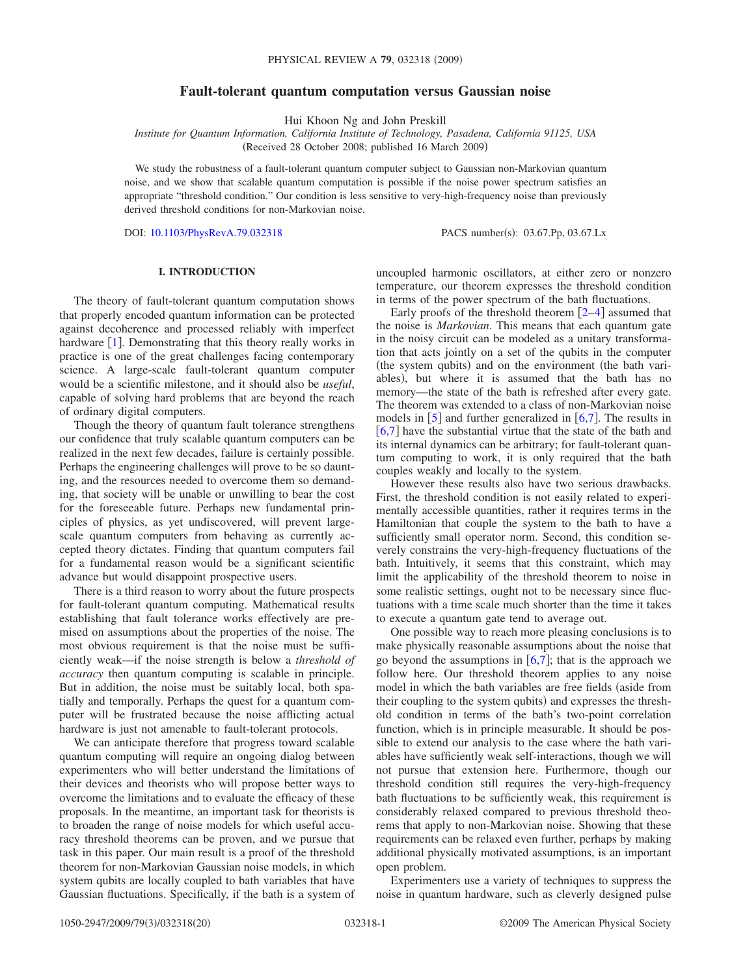# **Fault-tolerant quantum computation versus Gaussian noise**

Hui Khoon Ng and John Preskill

*Institute for Quantum Information, California Institute of Technology, Pasadena, California 91125, USA* (Received 28 October 2008; published 16 March 2009)

We study the robustness of a fault-tolerant quantum computer subject to Gaussian non-Markovian quantum noise, and we show that scalable quantum computation is possible if the noise power spectrum satisfies an appropriate "threshold condition." Our condition is less sensitive to very-high-frequency noise than previously derived threshold conditions for non-Markovian noise.

DOI: [10.1103/PhysRevA.79.032318](http://dx.doi.org/10.1103/PhysRevA.79.032318)

PACS number(s): 03.67.Pp, 03.67.Lx

# **I. INTRODUCTION**

The theory of fault-tolerant quantum computation shows that properly encoded quantum information can be protected against decoherence and processed reliably with imperfect hardware  $[1]$  $[1]$  $[1]$ . Demonstrating that this theory really works in practice is one of the great challenges facing contemporary science. A large-scale fault-tolerant quantum computer would be a scientific milestone, and it should also be *useful*, capable of solving hard problems that are beyond the reach of ordinary digital computers.

Though the theory of quantum fault tolerance strengthens our confidence that truly scalable quantum computers can be realized in the next few decades, failure is certainly possible. Perhaps the engineering challenges will prove to be so daunting, and the resources needed to overcome them so demanding, that society will be unable or unwilling to bear the cost for the foreseeable future. Perhaps new fundamental principles of physics, as yet undiscovered, will prevent largescale quantum computers from behaving as currently accepted theory dictates. Finding that quantum computers fail for a fundamental reason would be a significant scientific advance but would disappoint prospective users.

There is a third reason to worry about the future prospects for fault-tolerant quantum computing. Mathematical results establishing that fault tolerance works effectively are premised on assumptions about the properties of the noise. The most obvious requirement is that the noise must be sufficiently weak—if the noise strength is below a *threshold of accuracy* then quantum computing is scalable in principle. But in addition, the noise must be suitably local, both spatially and temporally. Perhaps the quest for a quantum computer will be frustrated because the noise afflicting actual hardware is just not amenable to fault-tolerant protocols.

We can anticipate therefore that progress toward scalable quantum computing will require an ongoing dialog between experimenters who will better understand the limitations of their devices and theorists who will propose better ways to overcome the limitations and to evaluate the efficacy of these proposals. In the meantime, an important task for theorists is to broaden the range of noise models for which useful accuracy threshold theorems can be proven, and we pursue that task in this paper. Our main result is a proof of the threshold theorem for non-Markovian Gaussian noise models, in which system qubits are locally coupled to bath variables that have Gaussian fluctuations. Specifically, if the bath is a system of uncoupled harmonic oscillators, at either zero or nonzero temperature, our theorem expresses the threshold condition in terms of the power spectrum of the bath fluctuations.

Early proofs of the threshold theorem  $[2-4]$  $[2-4]$  $[2-4]$  assumed that the noise is *Markovian*. This means that each quantum gate in the noisy circuit can be modeled as a unitary transformation that acts jointly on a set of the qubits in the computer (the system qubits) and on the environment (the bath variables), but where it is assumed that the bath has no memory—the state of the bath is refreshed after every gate. The theorem was extended to a class of non-Markovian noise models in  $\lceil 5 \rceil$  $\lceil 5 \rceil$  $\lceil 5 \rceil$  and further generalized in  $\lceil 6, 7 \rceil$  $\lceil 6, 7 \rceil$  $\lceil 6, 7 \rceil$  $\lceil 6, 7 \rceil$  $\lceil 6, 7 \rceil$ . The results in  $[6,7]$  $[6,7]$  $[6,7]$  $[6,7]$  have the substantial virtue that the state of the bath and its internal dynamics can be arbitrary; for fault-tolerant quantum computing to work, it is only required that the bath couples weakly and locally to the system.

However these results also have two serious drawbacks. First, the threshold condition is not easily related to experimentally accessible quantities, rather it requires terms in the Hamiltonian that couple the system to the bath to have a sufficiently small operator norm. Second, this condition severely constrains the very-high-frequency fluctuations of the bath. Intuitively, it seems that this constraint, which may limit the applicability of the threshold theorem to noise in some realistic settings, ought not to be necessary since fluctuations with a time scale much shorter than the time it takes to execute a quantum gate tend to average out.

One possible way to reach more pleasing conclusions is to make physically reasonable assumptions about the noise that go beyond the assumptions in  $[6,7]$  $[6,7]$  $[6,7]$  $[6,7]$ ; that is the approach we follow here. Our threshold theorem applies to any noise model in which the bath variables are free fields (aside from their coupling to the system qubits) and expresses the threshold condition in terms of the bath's two-point correlation function, which is in principle measurable. It should be possible to extend our analysis to the case where the bath variables have sufficiently weak self-interactions, though we will not pursue that extension here. Furthermore, though our threshold condition still requires the very-high-frequency bath fluctuations to be sufficiently weak, this requirement is considerably relaxed compared to previous threshold theorems that apply to non-Markovian noise. Showing that these requirements can be relaxed even further, perhaps by making additional physically motivated assumptions, is an important open problem.

Experimenters use a variety of techniques to suppress the noise in quantum hardware, such as cleverly designed pulse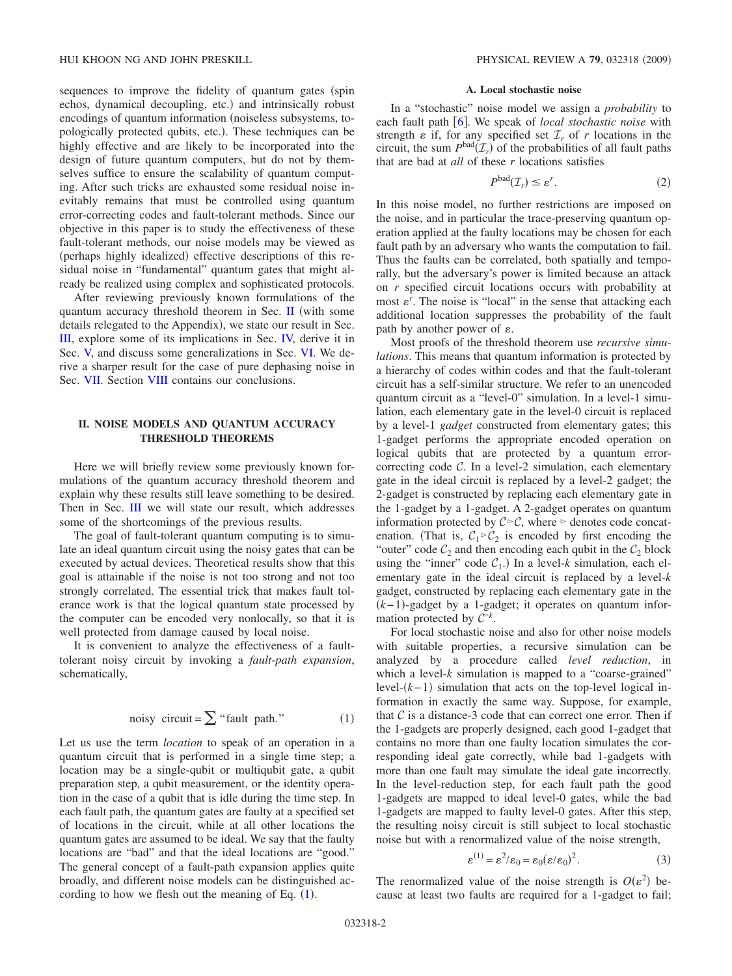sequences to improve the fidelity of quantum gates (spin echos, dynamical decoupling, etc.) and intrinsically robust encodings of quantum information (noiseless subsystems, topologically protected qubits, etc.). These techniques can be highly effective and are likely to be incorporated into the design of future quantum computers, but do not by themselves suffice to ensure the scalability of quantum computing. After such tricks are exhausted some residual noise inevitably remains that must be controlled using quantum error-correcting codes and fault-tolerant methods. Since our objective in this paper is to study the effectiveness of these fault-tolerant methods, our noise models may be viewed as (perhaps highly idealized) effective descriptions of this residual noise in "fundamental" quantum gates that might already be realized using complex and sophisticated protocols.

After reviewing previously known formulations of the quantum accuracy threshold theorem in Sec.  $II$  (with some details relegated to the Appendix), we state our result in Sec. [III,](#page-5-0) explore some of its implications in Sec. [IV,](#page-6-0) derive it in Sec. [V,](#page-8-0) and discuss some generalizations in Sec. [VI.](#page-12-0) We derive a sharper result for the case of pure dephasing noise in Sec. [VII.](#page-15-0) Section [VIII](#page-17-0) contains our conclusions.

# **II. NOISE MODELS AND QUANTUM ACCURACY THRESHOLD THEOREMS**

<span id="page-1-0"></span>Here we will briefly review some previously known formulations of the quantum accuracy threshold theorem and explain why these results still leave something to be desired. Then in Sec. [III](#page-5-0) we will state our result, which addresses some of the shortcomings of the previous results.

The goal of fault-tolerant quantum computing is to simulate an ideal quantum circuit using the noisy gates that can be executed by actual devices. Theoretical results show that this goal is attainable if the noise is not too strong and not too strongly correlated. The essential trick that makes fault tolerance work is that the logical quantum state processed by the computer can be encoded very nonlocally, so that it is well protected from damage caused by local noise.

It is convenient to analyze the effectiveness of a faulttolerant noisy circuit by invoking a *fault-path expansion*, schematically,

noisy circuit = 
$$
\sum
$$
 "fault path." (1)

<span id="page-1-1"></span>Let us use the term *location* to speak of an operation in a quantum circuit that is performed in a single time step; a location may be a single-qubit or multiqubit gate, a qubit preparation step, a qubit measurement, or the identity operation in the case of a qubit that is idle during the time step. In each fault path, the quantum gates are faulty at a specified set of locations in the circuit, while at all other locations the quantum gates are assumed to be ideal. We say that the faulty locations are "bad" and that the ideal locations are "good." The general concept of a fault-path expansion applies quite broadly, and different noise models can be distinguished according to how we flesh out the meaning of Eq.  $(1)$  $(1)$  $(1)$ .

## **A. Local stochastic noise**

In a "stochastic" noise model we assign a *probability* to each fault path [[6](#page-19-4)]. We speak of *local stochastic noise* with strength  $\varepsilon$  if, for any specified set  $\mathcal{I}_r$  of *r* locations in the circuit, the sum  $P^{\text{bad}}(\mathcal{I}_r)$  of the probabilities of all fault paths that are bad at *all* of these *r* locations satisfies

$$
P^{\text{bad}}(\mathcal{I}_r) \le \varepsilon^r. \tag{2}
$$

In this noise model, no further restrictions are imposed on the noise, and in particular the trace-preserving quantum operation applied at the faulty locations may be chosen for each fault path by an adversary who wants the computation to fail. Thus the faults can be correlated, both spatially and temporally, but the adversary's power is limited because an attack on *r* specified circuit locations occurs with probability at most  $\varepsilon^r$ . The noise is "local" in the sense that attacking each additional location suppresses the probability of the fault path by another power of  $\varepsilon$ .

Most proofs of the threshold theorem use *recursive simulations*. This means that quantum information is protected by a hierarchy of codes within codes and that the fault-tolerant circuit has a self-similar structure. We refer to an unencoded quantum circuit as a "level-0" simulation. In a level-1 simulation, each elementary gate in the level-0 circuit is replaced by a level-1 *gadget* constructed from elementary gates; this 1-gadget performs the appropriate encoded operation on logical qubits that are protected by a quantum errorcorrecting code C. In a level-2 simulation, each elementary gate in the ideal circuit is replaced by a level-2 gadget; the 2-gadget is constructed by replacing each elementary gate in the 1-gadget by a 1-gadget. A 2-gadget operates on quantum information protected by  $C \triangleright C$ , where  $\triangleright$  denotes code concatenation. (That is,  $C_1 \rhd C_2$  is encoded by first encoding the "outer" code  $C_2$  and then encoding each qubit in the  $C_2$  block using the "inner" code  $C_1$ .) In a level-*k* simulation, each elementary gate in the ideal circuit is replaced by a level-*k* gadget, constructed by replacing each elementary gate in the  $(k-1)$ -gadget by a 1-gadget; it operates on quantum information protected by  $C^{\triangleright k}$ .

For local stochastic noise and also for other noise models with suitable properties, a recursive simulation can be analyzed by a procedure called *level reduction*, in which a level-*k* simulation is mapped to a "coarse-grained" level-(k-1) simulation that acts on the top-level logical information in exactly the same way. Suppose, for example, that  $\mathcal C$  is a distance-3 code that can correct one error. Then if the 1-gadgets are properly designed, each good 1-gadget that contains no more than one faulty location simulates the corresponding ideal gate correctly, while bad 1-gadgets with more than one fault may simulate the ideal gate incorrectly. In the level-reduction step, for each fault path the good 1-gadgets are mapped to ideal level-0 gates, while the bad 1-gadgets are mapped to faulty level-0 gates. After this step, the resulting noisy circuit is still subject to local stochastic noise but with a renormalized value of the noise strength,

$$
\varepsilon^{(1)} = \varepsilon^2 / \varepsilon_0 = \varepsilon_0 (\varepsilon / \varepsilon_0)^2. \tag{3}
$$

The renormalized value of the noise strength is  $O(\varepsilon^2)$  because at least two faults are required for a 1-gadget to fail;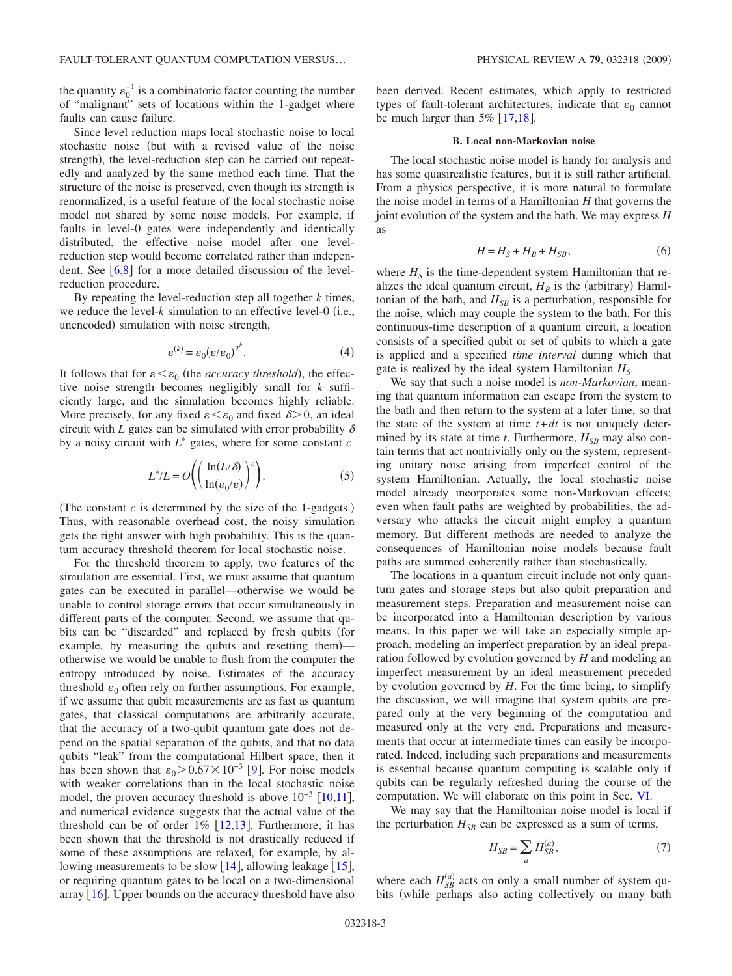the quantity  $\varepsilon_0^{-1}$  is a combinatoric factor counting the number of "malignant" sets of locations within the 1-gadget where faults can cause failure.

Since level reduction maps local stochastic noise to local stochastic noise (but with a revised value of the noise strength), the level-reduction step can be carried out repeatedly and analyzed by the same method each time. That the structure of the noise is preserved, even though its strength is renormalized, is a useful feature of the local stochastic noise model not shared by some noise models. For example, if faults in level-0 gates were independently and identically distributed, the effective noise model after one levelreduction step would become correlated rather than independent. See  $[6,8]$  $[6,8]$  $[6,8]$  $[6,8]$  for a more detailed discussion of the levelreduction procedure.

By repeating the level-reduction step all together *k* times, we reduce the level- $k$  simulation to an effective level- $0$  (i.e., unencoded) simulation with noise strength,

$$
\varepsilon^{(k)} = \varepsilon_0 (\varepsilon/\varepsilon_0)^{2^k}.
$$
 (4)

<span id="page-2-0"></span>It follows that for  $\varepsilon < \varepsilon_0$  (the *accuracy threshold*), the effective noise strength becomes negligibly small for *k* sufficiently large, and the simulation becomes highly reliable. More precisely, for any fixed  $\varepsilon < \varepsilon_0$  and fixed  $\delta > 0$ , an ideal circuit with *L* gates can be simulated with error probability  $\delta$ by a noisy circuit with  $L^*$  gates, where for some constant  $c$ 

$$
L^*/L = O\left(\left(\frac{\ln(L/\delta)}{\ln(\varepsilon_0/\varepsilon)}\right)^c\right).
$$
 (5)

(The constant  $c$  is determined by the size of the 1-gadgets.) Thus, with reasonable overhead cost, the noisy simulation gets the right answer with high probability. This is the quantum accuracy threshold theorem for local stochastic noise.

For the threshold theorem to apply, two features of the simulation are essential. First, we must assume that quantum gates can be executed in parallel—otherwise we would be unable to control storage errors that occur simultaneously in different parts of the computer. Second, we assume that qubits can be "discarded" and replaced by fresh qubits (for example, by measuring the qubits and resetting them)otherwise we would be unable to flush from the computer the entropy introduced by noise. Estimates of the accuracy threshold  $\varepsilon_0$  often rely on further assumptions. For example, if we assume that qubit measurements are as fast as quantum gates, that classical computations are arbitrarily accurate, that the accuracy of a two-qubit quantum gate does not depend on the spatial separation of the qubits, and that no data qubits "leak" from the computational Hilbert space, then it has been shown that  $\varepsilon_0 > 0.67 \times 10^{-3}$  [[9](#page-19-7)]. For noise models with weaker correlations than in the local stochastic noise model, the proven accuracy threshold is above  $10^{-3}$  [[10,](#page-19-8)[11](#page-19-9)], and numerical evidence suggests that the actual value of the threshold can be of order  $1\%$  [[12,](#page-19-10)[13](#page-19-11)]. Furthermore, it has been shown that the threshold is not drastically reduced if some of these assumptions are relaxed, for example, by allowing measurements to be slow  $[14]$  $[14]$  $[14]$ , allowing leakage  $[15]$  $[15]$  $[15]$ , or requiring quantum gates to be local on a two-dimensional array  $[16]$  $[16]$  $[16]$ . Upper bounds on the accuracy threshold have also been derived. Recent estimates, which apply to restricted types of fault-tolerant architectures, indicate that  $\varepsilon_0$  cannot be much larger than  $5\%$  [[17](#page-19-15)[,18](#page-19-16)].

### **B. Local non-Markovian noise**

<span id="page-2-2"></span>The local stochastic noise model is handy for analysis and has some quasirealistic features, but it is still rather artificial. From a physics perspective, it is more natural to formulate the noise model in terms of a Hamiltonian *H* that governs the joint evolution of the system and the bath. We may express *H* as

$$
H = H_S + H_B + H_{SB},\tag{6}
$$

where  $H<sub>S</sub>$  is the time-dependent system Hamiltonian that realizes the ideal quantum circuit,  $H_B$  is the (arbitrary) Hamiltonian of the bath, and  $H_{SB}$  is a perturbation, responsible for the noise, which may couple the system to the bath. For this continuous-time description of a quantum circuit, a location consists of a specified qubit or set of qubits to which a gate is applied and a specified *time interval* during which that gate is realized by the ideal system Hamiltonian *HS*.

We say that such a noise model is *non-Markovian*, meaning that quantum information can escape from the system to the bath and then return to the system at a later time, so that the state of the system at time  $t + dt$  is not uniquely determined by its state at time *t*. Furthermore,  $H_{SB}$  may also contain terms that act nontrivially only on the system, representing unitary noise arising from imperfect control of the system Hamiltonian. Actually, the local stochastic noise model already incorporates some non-Markovian effects; even when fault paths are weighted by probabilities, the adversary who attacks the circuit might employ a quantum memory. But different methods are needed to analyze the consequences of Hamiltonian noise models because fault paths are summed coherently rather than stochastically.

The locations in a quantum circuit include not only quantum gates and storage steps but also qubit preparation and measurement steps. Preparation and measurement noise can be incorporated into a Hamiltonian description by various means. In this paper we will take an especially simple approach, modeling an imperfect preparation by an ideal preparation followed by evolution governed by *H* and modeling an imperfect measurement by an ideal measurement preceded by evolution governed by *H*. For the time being, to simplify the discussion, we will imagine that system qubits are prepared only at the very beginning of the computation and measured only at the very end. Preparations and measurements that occur at intermediate times can easily be incorporated. Indeed, including such preparations and measurements is essential because quantum computing is scalable only if qubits can be regularly refreshed during the course of the computation. We will elaborate on this point in Sec. [VI.](#page-12-0)

We may say that the Hamiltonian noise model is local if the perturbation  $H_{SB}$  can be expressed as a sum of terms,

$$
H_{SB} = \sum_{a} H_{SB}^{(a)},\tag{7}
$$

<span id="page-2-1"></span>where each  $H_{SB}^{(a)}$  acts on only a small number of system qubits (while perhaps also acting collectively on many bath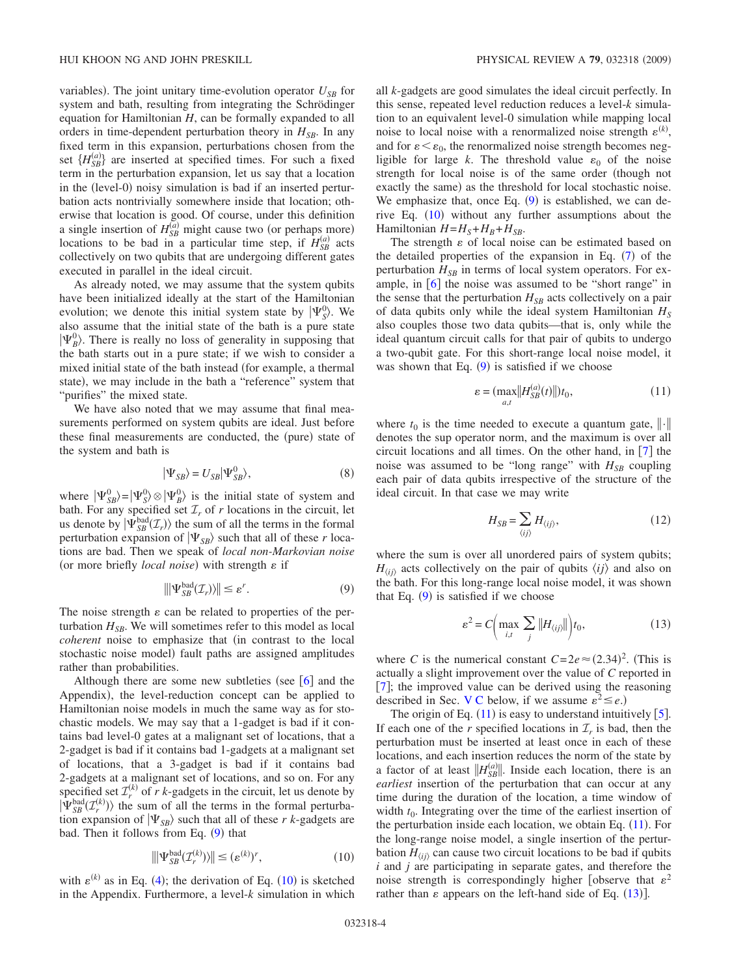variables). The joint unitary time-evolution operator  $U_{SB}$  for system and bath, resulting from integrating the Schrödinger equation for Hamiltonian *H*, can be formally expanded to all orders in time-dependent perturbation theory in  $H_{SB}$ . In any fixed term in this expansion, perturbations chosen from the set  ${H}_{SB}^{(a)}$  are inserted at specified times. For such a fixed term in the perturbation expansion, let us say that a location in the (level-0) noisy simulation is bad if an inserted perturbation acts nontrivially somewhere inside that location; otherwise that location is good. Of course, under this definition a single insertion of  $H_{SB}^{(a)}$  might cause two (or perhaps more) locations to be bad in a particular time step, if  $H_{SB}^{(a)}$  acts collectively on two qubits that are undergoing different gates executed in parallel in the ideal circuit.

As already noted, we may assume that the system qubits have been initialized ideally at the start of the Hamiltonian evolution; we denote this initial system state by  $|\Psi_{S}^{0}\rangle$ . We also assume that the initial state of the bath is a pure state  $|\Psi_B^0\rangle$ . There is really no loss of generality in supposing that the bath starts out in a pure state; if we wish to consider a mixed initial state of the bath instead for example, a thermal state), we may include in the bath a "reference" system that "purifies" the mixed state.

We have also noted that we may assume that final measurements performed on system qubits are ideal. Just before these final measurements are conducted, the (pure) state of the system and bath is

$$
|\Psi_{SB}\rangle = U_{SB}|\Psi_{SB}^{0}\rangle,\tag{8}
$$

where  $|\Psi_{SB}^{0}\rangle = |\Psi_{S}^{0}\rangle \otimes |\Psi_{B}^{0}\rangle$  is the initial state of system and bath. For any specified set  $\mathcal{I}_r$  of  $r$  locations in the circuit, let us denote by  $|\Psi_{SB}^{\text{bad}}(\mathcal{I}_r)\rangle$  the sum of all the terms in the formal perturbation expansion of  $|\Psi_{SB}\rangle$  such that all of these *r* locations are bad. Then we speak of *local non-Markovian noise* (or more briefly *local noise*) with strength  $\varepsilon$  if

$$
\|\Psi_{SB}^{\text{bad}}(\mathcal{I}_r)\|\leq \varepsilon^r. \tag{9}
$$

<span id="page-3-0"></span>The noise strength  $\varepsilon$  can be related to properties of the perturbation  $H_{SB}$ . We will sometimes refer to this model as local *coherent* noise to emphasize that (in contrast to the local stochastic noise model) fault paths are assigned amplitudes rather than probabilities.

Although there are some new subtleties (see  $[6]$  $[6]$  $[6]$  and the Appendix), the level-reduction concept can be applied to Hamiltonian noise models in much the same way as for stochastic models. We may say that a 1-gadget is bad if it contains bad level-0 gates at a malignant set of locations, that a 2-gadget is bad if it contains bad 1-gadgets at a malignant set of locations, that a 3-gadget is bad if it contains bad 2-gadgets at a malignant set of locations, and so on. For any specified set  $\mathcal{I}_r^{(k)}$  of *r k*-gadgets in the circuit, let us denote by  $|\Psi_{SB}^{\text{bad}}(\mathcal{I}_r^{(k)})\rangle$  the sum of all the terms in the formal perturbation expansion of  $|\Psi_{SB}\rangle$  such that all of these *r* k-gadgets are bad. Then it follows from Eq. ([9](#page-3-0)) that

$$
\|\Psi_{SB}^{\text{bad}}(\mathcal{I}_r^{(k)})\|\leq (\varepsilon^{(k)})^r,\tag{10}
$$

<span id="page-3-1"></span>with  $\varepsilon^{(k)}$  as in Eq. ([4](#page-2-0)); the derivation of Eq. ([10](#page-3-1)) is sketched in the Appendix. Furthermore, a level-*k* simulation in which all *k*-gadgets are good simulates the ideal circuit perfectly. In this sense, repeated level reduction reduces a level-*k* simulation to an equivalent level-0 simulation while mapping local noise to local noise with a renormalized noise strength  $\varepsilon^{(k)}$ , and for  $\varepsilon < \varepsilon_0$ , the renormalized noise strength becomes negligible for large *k*. The threshold value  $\varepsilon_0$  of the noise strength for local noise is of the same order (though not exactly the same) as the threshold for local stochastic noise. We emphasize that, once Eq.  $(9)$  $(9)$  $(9)$  is established, we can de-rive Eq. ([10](#page-3-1)) without any further assumptions about the Hamiltonian  $H = H<sub>S</sub> + H<sub>B</sub> + H<sub>SB</sub>$ .

The strength  $\varepsilon$  of local noise can be estimated based on the detailed properties of the expansion in Eq.  $(7)$  $(7)$  $(7)$  of the perturbation  $H_{SB}$  in terms of local system operators. For example, in  $\lceil 6 \rceil$  $\lceil 6 \rceil$  $\lceil 6 \rceil$  the noise was assumed to be "short range" in the sense that the perturbation  $H_{SB}$  acts collectively on a pair of data qubits only while the ideal system Hamiltonian  $H<sub>S</sub>$ also couples those two data qubits—that is, only while the ideal quantum circuit calls for that pair of qubits to undergo a two-qubit gate. For this short-range local noise model, it was shown that Eq.  $(9)$  $(9)$  $(9)$  is satisfied if we choose

$$
\varepsilon = (\max_{a,t} ||H_{SB}^{(a)}(t)||) t_0,
$$
\n(11)

<span id="page-3-2"></span>where  $t_0$  is the time needed to execute a quantum gate,  $\|\cdot\|$ denotes the sup operator norm, and the maximum is over all circuit locations and all times. On the other hand, in  $[7]$  $[7]$  $[7]$  the noise was assumed to be "long range" with  $H_{SB}$  coupling each pair of data qubits irrespective of the structure of the ideal circuit. In that case we may write

$$
H_{SB} = \sum_{\langle ij \rangle} H_{\langle ij \rangle},\tag{12}
$$

where the sum is over all unordered pairs of system qubits;  $H_{\langle ij \rangle}$  acts collectively on the pair of qubits  $\langle ij \rangle$  and also on the bath. For this long-range local noise model, it was shown that Eq.  $(9)$  $(9)$  $(9)$  is satisfied if we choose

$$
\varepsilon^2 = C \bigg( \max_{i,t} \sum_j \|H_{\langle ij \rangle}\| \bigg) t_0,\tag{13}
$$

<span id="page-3-3"></span>where *C* is the numerical constant  $C = 2e \approx (2.34)^2$ . (This is actually a slight improvement over the value of *C* reported in  $[7]$  $[7]$  $[7]$ ; the improved value can be derived using the reasoning described in Sec. [V C](#page-11-0) below, if we assume  $\varepsilon^2 \leq e$ .)

The origin of Eq.  $(11)$  $(11)$  $(11)$  is easy to understand intuitively [[5](#page-19-3)]. If each one of the *r* specified locations in  $\mathcal{I}_r$  is bad, then the perturbation must be inserted at least once in each of these locations, and each insertion reduces the norm of the state by a factor of at least  $\|H_{SB}^{(a)}\|$ . Inside each location, there is an *earliest* insertion of the perturbation that can occur at any time during the duration of the location, a time window of width  $t_0$ . Integrating over the time of the earliest insertion of the perturbation inside each location, we obtain Eq.  $(11)$  $(11)$  $(11)$ . For the long-range noise model, a single insertion of the perturbation  $H_{\langle ij \rangle}$  can cause two circuit locations to be bad if qubits *i* and *j* are participating in separate gates, and therefore the noise strength is correspondingly higher [observe that  $\varepsilon^2$ rather than  $\varepsilon$  appears on the left-hand side of Eq. ([13](#page-3-3))].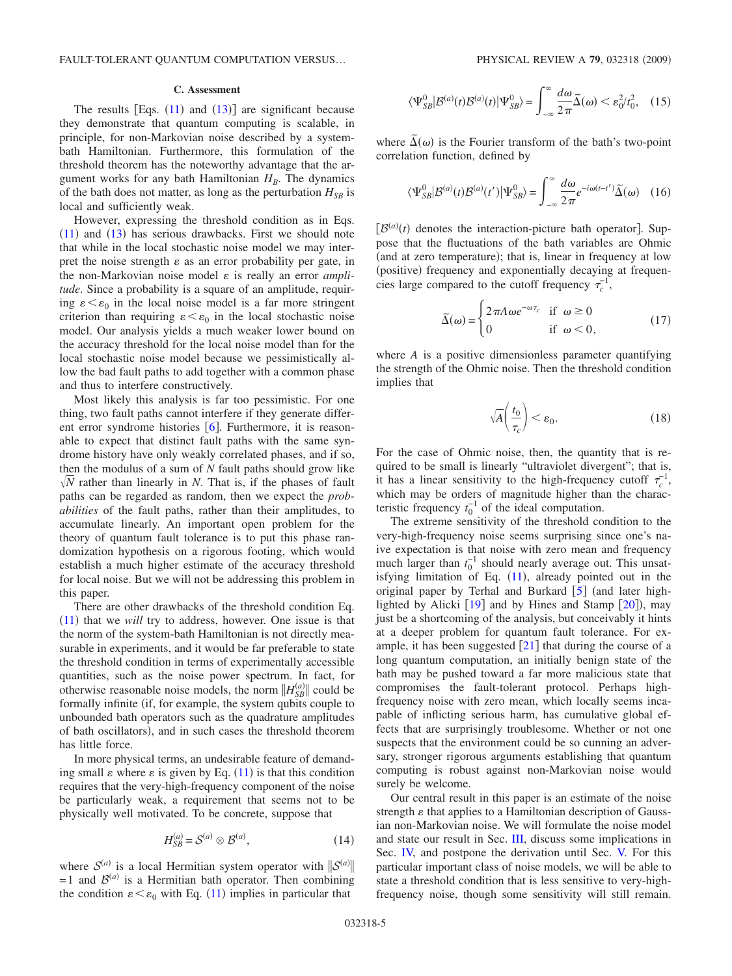## **C. Assessment**

<span id="page-4-1"></span>The results  $[Eqs. (11)$  $[Eqs. (11)$  $[Eqs. (11)$  and  $(13)]$  $(13)]$  $(13)]$  are significant because they demonstrate that quantum computing is scalable, in principle, for non-Markovian noise described by a systembath Hamiltonian. Furthermore, this formulation of the threshold theorem has the noteworthy advantage that the argument works for any bath Hamiltonian  $H_B$ . The dynamics of the bath does not matter, as long as the perturbation  $H_{SB}$  is local and sufficiently weak.

However, expressing the threshold condition as in Eqs.  $(11)$  $(11)$  $(11)$  and  $(13)$  $(13)$  $(13)$  has serious drawbacks. First we should note that while in the local stochastic noise model we may interpret the noise strength  $\varepsilon$  as an error probability per gate, in the non-Markovian noise model  $\varepsilon$  is really an error *amplitude*. Since a probability is a square of an amplitude, requiring  $\epsilon < \epsilon_0$  in the local noise model is a far more stringent criterion than requiring  $\varepsilon < \varepsilon_0$  in the local stochastic noise model. Our analysis yields a much weaker lower bound on the accuracy threshold for the local noise model than for the local stochastic noise model because we pessimistically allow the bad fault paths to add together with a common phase and thus to interfere constructively.

Most likely this analysis is far too pessimistic. For one thing, two fault paths cannot interfere if they generate different error syndrome histories  $[6]$  $[6]$  $[6]$ . Furthermore, it is reasonable to expect that distinct fault paths with the same syndrome history have only weakly correlated phases, and if so, then the modulus of a sum of *N* fault paths should grow like  $\sqrt{N}$  rather than linearly in *N*. That is, if the phases of fault paths can be regarded as random, then we expect the *probabilities* of the fault paths, rather than their amplitudes, to accumulate linearly. An important open problem for the theory of quantum fault tolerance is to put this phase randomization hypothesis on a rigorous footing, which would establish a much higher estimate of the accuracy threshold for local noise. But we will not be addressing this problem in this paper.

There are other drawbacks of the threshold condition Eq.  $(11)$  $(11)$  $(11)$  that we *will* try to address, however. One issue is that the norm of the system-bath Hamiltonian is not directly measurable in experiments, and it would be far preferable to state the threshold condition in terms of experimentally accessible quantities, such as the noise power spectrum. In fact, for otherwise reasonable noise models, the norm  $\Vert H_{SB}^{(a)} \Vert$  could be formally infinite (if, for example, the system qubits couple to unbounded bath operators such as the quadrature amplitudes of bath oscillators), and in such cases the threshold theorem has little force.

In more physical terms, an undesirable feature of demanding small  $\varepsilon$  where  $\varepsilon$  is given by Eq. ([11](#page-3-2)) is that this condition requires that the very-high-frequency component of the noise be particularly weak, a requirement that seems not to be physically well motivated. To be concrete, suppose that

$$
H_{SB}^{(a)} = \mathcal{S}^{(a)} \otimes \mathcal{B}^{(a)},\tag{14}
$$

where  $S^{(a)}$  is a local Hermitian system operator with  $\|S^{(a)}\|$  $= 1$  and  $\mathcal{B}^{(a)}$  is a Hermitian bath operator. Then combining the condition  $\varepsilon < \varepsilon_0$  with Eq. ([11](#page-3-2)) implies in particular that

$$
\langle \Psi_{SB}^{0} | \mathcal{B}^{(a)}(t) \mathcal{B}^{(a)}(t) | \Psi_{SB}^{0} \rangle = \int_{-\infty}^{\infty} \frac{d\omega}{2\pi} \widetilde{\Delta}(\omega) < \varepsilon_0^2 / t_0^2,\tag{15}
$$

<span id="page-4-0"></span>where  $\tilde{\Delta}(\omega)$  is the Fourier transform of the bath's two-point correlation function, defined by

$$
\langle \Psi_{SB}^{0} | \mathcal{B}^{(a)}(t) \mathcal{B}^{(a)}(t') | \Psi_{SB}^{0} \rangle = \int_{-\infty}^{\infty} \frac{d\omega}{2\pi} e^{-i\omega(t-t')} \tilde{\Delta}(\omega) \quad (16)
$$

 $[\mathcal{B}^{(a)}(t)]$  denotes the interaction-picture bath operator]. Suppose that the fluctuations of the bath variables are Ohmic (and at zero temperature); that is, linear in frequency at low (positive) frequency and exponentially decaying at frequencies large compared to the cutoff frequency  $\tau_c^{-1}$ ,

$$
\tilde{\Delta}(\omega) = \begin{cases}\n2\pi A \omega e^{-\omega \tau_c} & \text{if } \omega \ge 0 \\
0 & \text{if } \omega < 0,\n\end{cases}
$$
\n(17)

<span id="page-4-2"></span>where *A* is a positive dimensionless parameter quantifying the strength of the Ohmic noise. Then the threshold condition implies that

$$
\sqrt{A}\left(\frac{t_0}{\tau_c}\right) < \varepsilon_0. \tag{18}
$$

<span id="page-4-3"></span>For the case of Ohmic noise, then, the quantity that is required to be small is linearly "ultraviolet divergent"; that is, it has a linear sensitivity to the high-frequency cutoff  $\tau_c^{-1}$ , which may be orders of magnitude higher than the characteristic frequency  $t_0^{-1}$  of the ideal computation.

The extreme sensitivity of the threshold condition to the very-high-frequency noise seems surprising since one's naive expectation is that noise with zero mean and frequency much larger than  $t_0^{-1}$  should nearly average out. This unsatisfying limitation of Eq.  $(11)$  $(11)$  $(11)$ , already pointed out in the original paper by Terhal and Burkard  $[5]$  $[5]$  $[5]$  (and later highlighted by Alicki  $[19]$  $[19]$  $[19]$  and by Hines and Stamp  $[20]$  $[20]$  $[20]$ ), may just be a shortcoming of the analysis, but conceivably it hints at a deeper problem for quantum fault tolerance. For example, it has been suggested  $[21]$  $[21]$  $[21]$  that during the course of a long quantum computation, an initially benign state of the bath may be pushed toward a far more malicious state that compromises the fault-tolerant protocol. Perhaps highfrequency noise with zero mean, which locally seems incapable of inflicting serious harm, has cumulative global effects that are surprisingly troublesome. Whether or not one suspects that the environment could be so cunning an adversary, stronger rigorous arguments establishing that quantum computing is robust against non-Markovian noise would surely be welcome.

Our central result in this paper is an estimate of the noise strength  $\varepsilon$  that applies to a Hamiltonian description of Gaussian non-Markovian noise. We will formulate the noise model and state our result in Sec. [III,](#page-5-0) discuss some implications in Sec. [IV,](#page-6-0) and postpone the derivation until Sec. [V.](#page-8-0) For this particular important class of noise models, we will be able to state a threshold condition that is less sensitive to very-highfrequency noise, though some sensitivity will still remain.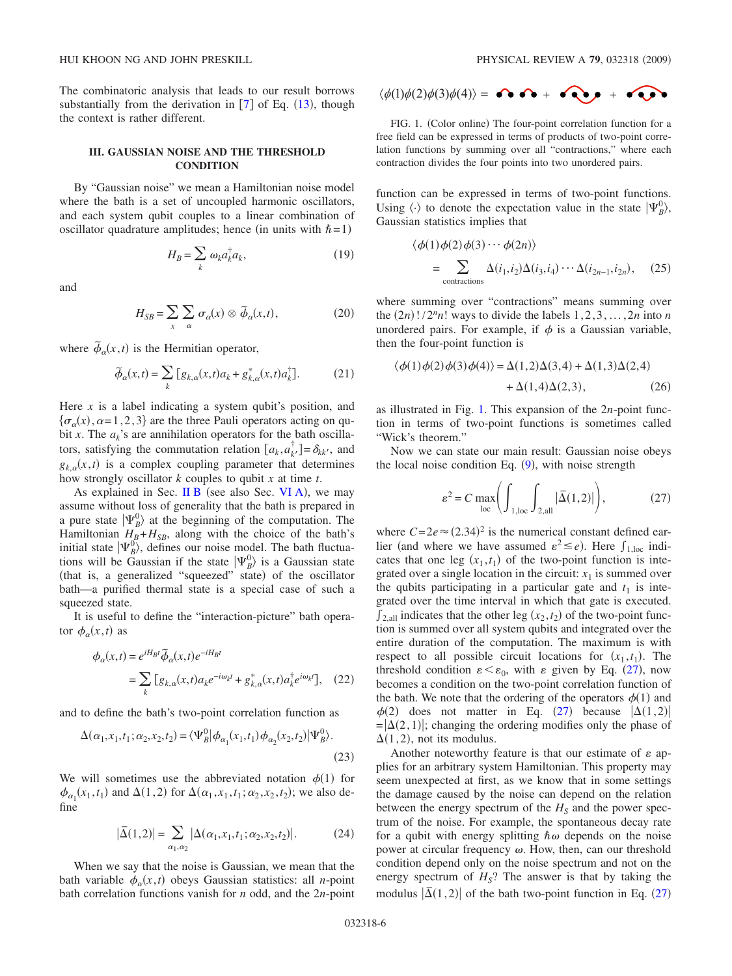The combinatoric analysis that leads to our result borrows substantially from the derivation in  $[7]$  $[7]$  $[7]$  of Eq.  $(13)$  $(13)$  $(13)$ , though the context is rather different.

# **III. GAUSSIAN NOISE AND THE THRESHOLD CONDITION**

<span id="page-5-0"></span>By "Gaussian noise" we mean a Hamiltonian noise model where the bath is a set of uncoupled harmonic oscillators, and each system qubit couples to a linear combination of oscillator quadrature amplitudes; hence (in units with  $\hbar = 1$ )

$$
H_B = \sum_k \omega_k a_k^{\dagger} a_k, \tag{19}
$$

and

$$
H_{SB} = \sum_{x} \sum_{\alpha} \sigma_{\alpha}(x) \otimes \tilde{\phi}_{\alpha}(x, t), \qquad (20)
$$

<span id="page-5-3"></span>where  $\tilde{\phi}_{\alpha}(x, t)$  is the Hermitian operator,

$$
\widetilde{\phi}_{\alpha}(x,t) = \sum_{k} \left[ g_{k,\alpha}(x,t) a_k + g_{k,\alpha}^*(x,t) a_k^{\dagger} \right]. \tag{21}
$$

<span id="page-5-4"></span>Here *x* is a label indicating a system qubit's position, and  $\{\sigma_\alpha(x), \alpha = 1, 2, 3\}$  are the three Pauli operators acting on qubit *x*. The  $a_k$ 's are annihilation operators for the bath oscillators, satisfying the commutation relation  $[a_k, a_{k'}^{\dagger}] = \delta_{kk'}$ , and  $g_{k,\alpha}(x,t)$  is a complex coupling parameter that determines how strongly oscillator *k* couples to qubit *x* at time *t*.

As explained in Sec. II  $\overline{B}$  (see also Sec. [VI A](#page-12-1)), we may assume without loss of generality that the bath is prepared in a pure state  $|\Psi_B^0\rangle$  at the beginning of the computation. The Hamiltonian  $H_B + H_{SB}$ , along with the choice of the bath's initial state  $|\Psi_B^0\rangle$ , defines our noise model. The bath fluctuations will be Gaussian if the state  $|\Psi_{B}^{0}\rangle$  is a Gaussian state (that is, a generalized "squeezed" state) of the oscillator bath—a purified thermal state is a special case of such a squeezed state.

It is useful to define the "interaction-picture" bath operator  $\phi_{\alpha}(x,t)$  as

$$
\phi_{\alpha}(x,t) = e^{iH_{B}t} \tilde{\phi}_{\alpha}(x,t) e^{-iH_{B}t}
$$
  
= 
$$
\sum_{k} [g_{k,\alpha}(x,t) a_{k} e^{-i\omega_{k}t} + g_{k,\alpha}^{*}(x,t) a_{k}^{\dagger} e^{i\omega_{k}t}], \quad (22)
$$

and to define the bath's two-point correlation function as

$$
\Delta(\alpha_1, x_1, t_1; \alpha_2, x_2, t_2) = \langle \Psi_B^0 | \phi_{\alpha_1}(x_1, t_1) \phi_{\alpha_2}(x_2, t_2) | \Psi_B^0 \rangle.
$$
\n(23)

We will sometimes use the abbreviated notation  $\phi(1)$  for  $\phi_{\alpha_1}(x_1, t_1)$  and  $\Delta(1, 2)$  for  $\Delta(\alpha_1, x_1, t_1; \alpha_2, x_2, t_2)$ ; we also define

$$
|\overline{\Delta}(1,2)| = \sum_{\alpha_1,\alpha_2} |\Delta(\alpha_1,x_1,t_1;\alpha_2,x_2,t_2)|. \tag{24}
$$

<span id="page-5-5"></span>When we say that the noise is Gaussian, we mean that the bath variable  $\phi_{\alpha}(x,t)$  obeys Gaussian statistics: all *n*-point bath correlation functions vanish for *n* odd, and the 2*n*-point

$$
\langle \phi(1)\phi(2)\phi(3)\phi(4)\rangle = \begin{array}{ccc}\text{c.} & \text{c.} & \text{c.} & \text{c.} & \text{c.} & \text{c.} \\
\end{array}
$$

<span id="page-5-1"></span>FIG. 1. (Color online) The four-point correlation function for a free field can be expressed in terms of products of two-point correlation functions by summing over all "contractions," where each contraction divides the four points into two unordered pairs.

function can be expressed in terms of two-point functions. Using  $\langle \cdot \rangle$  to denote the expectation value in the state  $|\Psi_B^0\rangle$ , Gaussian statistics implies that

$$
\langle \phi(1)\phi(2)\phi(3)\cdots\phi(2n)\rangle
$$
  
= 
$$
\sum_{\text{contractions}} \Delta(i_1, i_2) \Delta(i_3, i_4) \cdots \Delta(i_{2n-1}, i_{2n}), \quad (25)
$$

where summing over "contractions" means summing over the  $(2n)! / 2<sup>n</sup>n!$  ways to divide the labels  $1, 2, 3, \ldots, 2n$  into *n* unordered pairs. For example, if  $\phi$  is a Gaussian variable, then the four-point function is

$$
\langle \phi(1)\phi(2)\phi(3)\phi(4)\rangle = \Delta(1,2)\Delta(3,4) + \Delta(1,3)\Delta(2,4) + \Delta(1,4)\Delta(2,3),
$$
 (26)

as illustrated in Fig. [1.](#page-5-1) This expansion of the 2*n*-point function in terms of two-point functions is sometimes called "Wick's theorem."

Now we can state our main result: Gaussian noise obeys the local noise condition Eq.  $(9)$  $(9)$  $(9)$ , with noise strength

$$
\varepsilon^2 = C \max_{\text{loc}} \left( \int_{1, \text{loc}} \int_{2, \text{all}} |\bar{\Delta}(1, 2)| \right), \tag{27}
$$

<span id="page-5-2"></span>where  $C = 2e \approx (2.34)^2$  is the numerical constant defined earlier (and where we have assumed  $\varepsilon^2 \leq e$ ). Here  $\int_{1,\text{loc}}$  indicates that one leg  $(x_1, t_1)$  of the two-point function is integrated over a single location in the circuit:  $x_1$  is summed over the qubits participating in a particular gate and  $t_1$  is integrated over the time interval in which that gate is executed.  $\int_{2,all}$  indicates that the other leg  $(x_2, t_2)$  of the two-point function is summed over all system qubits and integrated over the entire duration of the computation. The maximum is with respect to all possible circuit locations for  $(x_1, t_1)$ . The threshold condition  $\varepsilon < \varepsilon_0$ , with  $\varepsilon$  given by Eq. ([27](#page-5-2)), now becomes a condition on the two-point correlation function of the bath. We note that the ordering of the operators  $\phi(1)$  and  $\phi(2)$  does not matter in Eq. ([27](#page-5-2)) because  $|\Delta(1,2)|$  $=|\Delta(2,1)|$ ; changing the ordering modifies only the phase of  $\Delta(1,2)$ , not its modulus.

Another noteworthy feature is that our estimate of  $\varepsilon$  applies for an arbitrary system Hamiltonian. This property may seem unexpected at first, as we know that in some settings the damage caused by the noise can depend on the relation between the energy spectrum of the  $H<sub>S</sub>$  and the power spectrum of the noise. For example, the spontaneous decay rate for a qubit with energy splitting  $\hbar \omega$  depends on the noise power at circular frequency  $\omega$ . How, then, can our threshold condition depend only on the noise spectrum and not on the energy spectrum of  $H<sub>S</sub>$ ? The answer is that by taking the modulus  $|\bar{\Delta}(1,2)|$  of the bath two-point function in Eq. ([27](#page-5-2))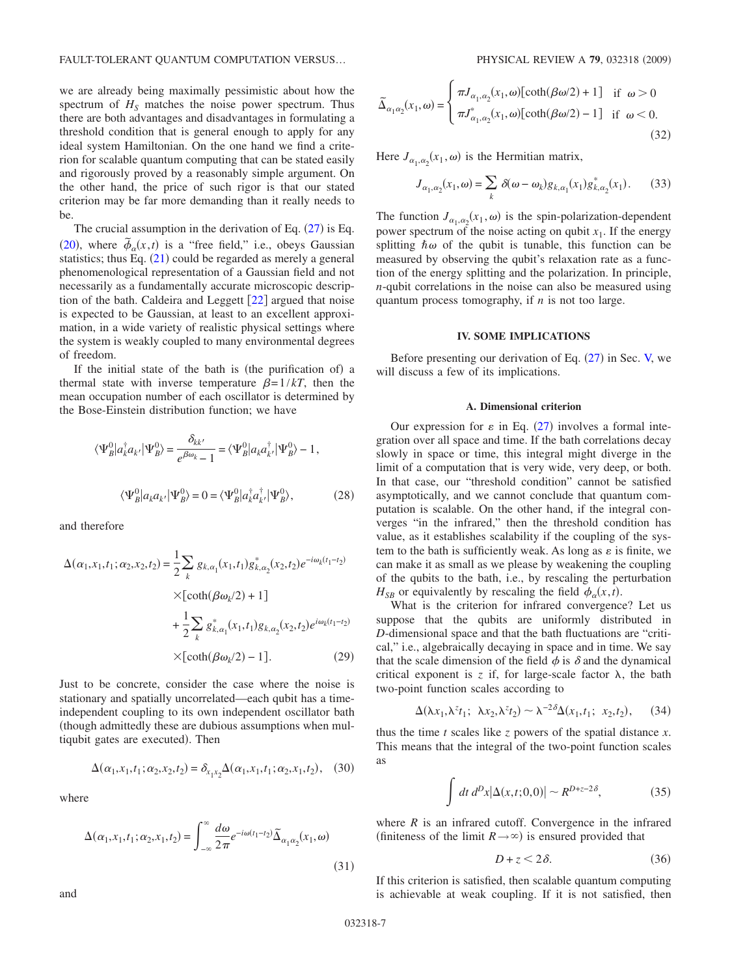we are already being maximally pessimistic about how the spectrum of  $H<sub>S</sub>$  matches the noise power spectrum. Thus there are both advantages and disadvantages in formulating a threshold condition that is general enough to apply for any ideal system Hamiltonian. On the one hand we find a criterion for scalable quantum computing that can be stated easily and rigorously proved by a reasonably simple argument. On the other hand, the price of such rigor is that our stated criterion may be far more demanding than it really needs to be.

The crucial assumption in the derivation of Eq.  $(27)$  $(27)$  $(27)$  is Eq. ([20](#page-5-3)), where  $\phi_{\alpha}(x,t)$  is a "free field," i.e., obeys Gaussian statistics; thus Eq.  $(21)$  $(21)$  $(21)$  could be regarded as merely a general phenomenological representation of a Gaussian field and not necessarily as a fundamentally accurate microscopic description of the bath. Caldeira and Leggett  $\lceil 22 \rceil$  $\lceil 22 \rceil$  $\lceil 22 \rceil$  argued that noise is expected to be Gaussian, at least to an excellent approximation, in a wide variety of realistic physical settings where the system is weakly coupled to many environmental degrees of freedom.

If the initial state of the bath is (the purification of) a thermal state with inverse temperature  $\beta = 1/kT$ , then the mean occupation number of each oscillator is determined by the Bose-Einstein distribution function; we have

$$
\langle \Psi_B^0 | a_k^\dagger a_{k'} | \Psi_B^0 \rangle = \frac{\delta_{kk'}}{e^{\beta \omega_k} - 1} = \langle \Psi_B^0 | a_k a_{k'}^\dagger | \Psi_B^0 \rangle - 1,
$$
  

$$
\langle \Psi_B^0 | a_k a_{k'} | \Psi_B^0 \rangle = 0 = \langle \Psi_B^0 | a_k^\dagger a_{k'}^\dagger | \Psi_B^0 \rangle, \tag{28}
$$

and therefore

$$
\Delta(\alpha_1, x_1, t_1; \alpha_2, x_2, t_2) = \frac{1}{2} \sum_{k} g_{k, \alpha_1}(x_1, t_1) g_{k, \alpha_2}^*(x_2, t_2) e^{-i\omega_k(t_1 - t_2)} \times [\coth(\beta \omega_k/2) + 1] \n+ \frac{1}{2} \sum_{k} g_{k, \alpha_1}^*(x_1, t_1) g_{k, \alpha_2}(x_2, t_2) e^{i\omega_k(t_1 - t_2)} \times [\coth(\beta \omega_k/2) - 1].
$$
\n(29)

Just to be concrete, consider the case where the noise is stationary and spatially uncorrelated—each qubit has a timeindependent coupling to its own independent oscillator bath though admittedly these are dubious assumptions when multiqubit gates are executed). Then

$$
\Delta(\alpha_1, x_1, t_1; \alpha_2, x_2, t_2) = \delta_{x_1 x_2} \Delta(\alpha_1, x_1, t_1; \alpha_2, x_1, t_2), \quad (30)
$$

where

$$
\Delta(\alpha_1, x_1, t_1; \alpha_2, x_1, t_2) = \int_{-\infty}^{\infty} \frac{d\omega}{2\pi} e^{-i\omega(t_1 - t_2)} \widetilde{\Delta}_{\alpha_1 \alpha_2}(x_1, \omega)
$$
\n(31)

$$
\widetilde{\Delta}_{\alpha_1 \alpha_2}(x_1, \omega) = \begin{cases}\n\pi J_{\alpha_1, \alpha_2}(x_1, \omega) [\coth(\beta \omega/2) + 1] & \text{if } \omega > 0 \\
\pi J_{\alpha_1, \alpha_2}^*(x_1, \omega) [\coth(\beta \omega/2) - 1] & \text{if } \omega < 0.\n\end{cases}
$$
\n(32)

Here  $J_{\alpha_1,\alpha_2}(x_1, \omega)$  is the Hermitian matrix,

$$
J_{\alpha_1,\alpha_2}(x_1,\omega) = \sum_k \delta(\omega - \omega_k) g_{k,\alpha_1}(x_1) g_{k,\alpha_2}^*(x_1). \tag{33}
$$

The function  $J_{\alpha_1,\alpha_2}(x_1,\omega)$  is the spin-polarization-dependent power spectrum of the noise acting on qubit  $x_1$ . If the energy splitting  $\hbar \omega$  of the qubit is tunable, this function can be measured by observing the qubit's relaxation rate as a function of the energy splitting and the polarization. In principle, *n*-qubit correlations in the noise can also be measured using quantum process tomography, if *n* is not too large.

### **IV. SOME IMPLICATIONS**

<span id="page-6-0"></span>Before presenting our derivation of Eq.  $(27)$  $(27)$  $(27)$  in Sec. [V,](#page-8-0) we will discuss a few of its implications.

### **A. Dimensional criterion**

<span id="page-6-1"></span>Our expression for  $\varepsilon$  in Eq. ([27](#page-5-2)) involves a formal integration over all space and time. If the bath correlations decay slowly in space or time, this integral might diverge in the limit of a computation that is very wide, very deep, or both. In that case, our "threshold condition" cannot be satisfied asymptotically, and we cannot conclude that quantum computation is scalable. On the other hand, if the integral converges "in the infrared," then the threshold condition has value, as it establishes scalability if the coupling of the system to the bath is sufficiently weak. As long as  $\varepsilon$  is finite, we can make it as small as we please by weakening the coupling of the qubits to the bath, i.e., by rescaling the perturbation  $H_{SB}$  or equivalently by rescaling the field  $\phi_{\alpha}(x,t)$ .

What is the criterion for infrared convergence? Let us suppose that the qubits are uniformly distributed in *D*-dimensional space and that the bath fluctuations are "critical," i.e., algebraically decaying in space and in time. We say that the scale dimension of the field  $\phi$  is  $\delta$  and the dynamical critical exponent is  $z$  if, for large-scale factor  $\lambda$ , the bath two-point function scales according to

$$
\Delta(\lambda x_1, \lambda^z t_1; \ \lambda x_2, \lambda^z t_2) \sim \lambda^{-2\delta} \Delta(x_1, t_1; \ x_2, t_2), \qquad (34)
$$

thus the time *t* scales like *z* powers of the spatial distance *x*. This means that the integral of the two-point function scales as

$$
\int dt \, d^D x |\Delta(x, t; 0, 0)| \sim R^{D + z - 2\delta},\tag{35}
$$

where  $R$  is an infrared cutoff. Convergence in the infrared (finiteness of the limit  $R \rightarrow \infty$ ) is ensured provided that

$$
D + z < 2\delta. \tag{36}
$$

If this criterion is satisfied, then scalable quantum computing is achievable at weak coupling. If it is not satisfied, then

and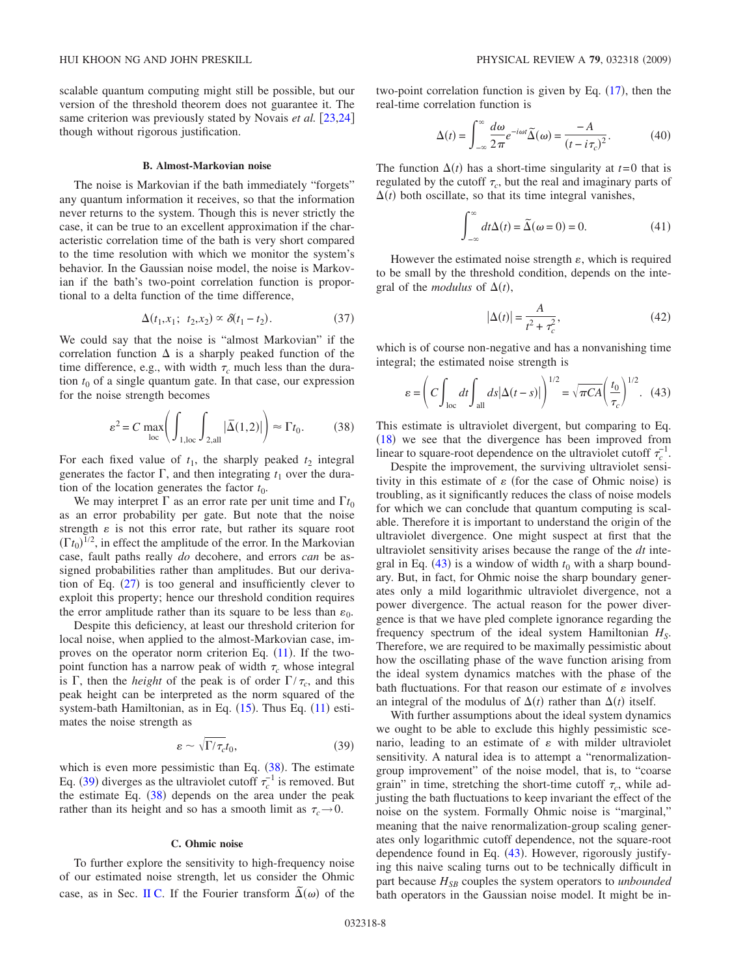scalable quantum computing might still be possible, but our version of the threshold theorem does not guarantee it. The same criterion was previously stated by Novais *et al.* [[23,](#page-19-21)[24](#page-19-22)] though without rigorous justification.

### **B. Almost-Markovian noise**

<span id="page-7-0"></span>The noise is Markovian if the bath immediately "forgets" any quantum information it receives, so that the information never returns to the system. Though this is never strictly the case, it can be true to an excellent approximation if the characteristic correlation time of the bath is very short compared to the time resolution with which we monitor the system's behavior. In the Gaussian noise model, the noise is Markovian if the bath's two-point correlation function is proportional to a delta function of the time difference,

$$
\Delta(t_1, x_1; t_2, x_2) \propto \delta(t_1 - t_2). \tag{37}
$$

We could say that the noise is "almost Markovian" if the correlation function  $\Delta$  is a sharply peaked function of the time difference, e.g., with width  $\tau_c$  much less than the duration  $t_0$  of a single quantum gate. In that case, our expression for the noise strength becomes

$$
\varepsilon^2 = C \max_{\text{loc}} \left( \int_{1, \text{loc}} \int_{2, \text{all}} |\bar{\Delta}(1, 2)| \right) \approx \Gamma t_0. \tag{38}
$$

For each fixed value of  $t_1$ , the sharply peaked  $t_2$  integral generates the factor  $\Gamma$ , and then integrating  $t_1$  over the duration of the location generates the factor  $t_0$ .

We may interpret  $\Gamma$  as an error rate per unit time and  $\Gamma t_0$ as an error probability per gate. But note that the noise strength  $\varepsilon$  is not this error rate, but rather its square root  $(\Gamma t_0)^{1/2}$ , in effect the amplitude of the error. In the Markovian case, fault paths really *do* decohere, and errors *can* be assigned probabilities rather than amplitudes. But our derivation of Eq.  $(27)$  $(27)$  $(27)$  is too general and insufficiently clever to exploit this property; hence our threshold condition requires the error amplitude rather than its square to be less than  $\varepsilon_0$ .

Despite this deficiency, at least our threshold criterion for local noise, when applied to the almost-Markovian case, improves on the operator norm criterion Eq.  $(11)$  $(11)$  $(11)$ . If the twopoint function has a narrow peak of width  $\tau_c$  whose integral is  $\Gamma$ , then the *height* of the peak is of order  $\Gamma/\tau_c$ , and this peak height can be interpreted as the norm squared of the system-bath Hamiltonian, as in Eq.  $(15)$  $(15)$  $(15)$ . Thus Eq.  $(11)$  $(11)$  $(11)$  estimates the noise strength as

$$
\varepsilon \sim \sqrt{\Gamma/\tau_c} t_0,\tag{39}
$$

<span id="page-7-1"></span>which is even more pessimistic than Eq.  $(38)$  $(38)$  $(38)$ . The estimate Eq. ([39](#page-7-1)) diverges as the ultraviolet cutoff  $\tau_c^{-1}$  is removed. But the estimate Eq.  $(38)$  $(38)$  $(38)$  depends on the area under the peak rather than its height and so has a smooth limit as  $\tau_c \rightarrow 0$ .

### **C. Ohmic noise**

To further explore the sensitivity to high-frequency noise of our estimated noise strength, let us consider the Ohmic case, as in Sec. [II C.](#page-4-1) If the Fourier transform  $\tilde{\Delta}(\omega)$  of the

two-point correlation function is given by Eq.  $(17)$  $(17)$  $(17)$ , then the real-time correlation function is

$$
\Delta(t) = \int_{-\infty}^{\infty} \frac{d\omega}{2\pi} e^{-i\omega t} \tilde{\Delta}(\omega) = \frac{-A}{(t - i\tau_c)^2}.
$$
 (40)

The function  $\Delta(t)$  has a short-time singularity at  $t=0$  that is regulated by the cutoff  $\tau_c$ , but the real and imaginary parts of  $\Delta(t)$  both oscillate, so that its time integral vanishes,

$$
\int_{-\infty}^{\infty} dt \Delta(t) = \tilde{\Delta}(\omega = 0) = 0.
$$
 (41)

However the estimated noise strength  $\varepsilon$ , which is required to be small by the threshold condition, depends on the integral of the *modulus* of  $\Delta(t)$ ,

$$
|\Delta(t)| = \frac{A}{t^2 + \tau_c^2},
$$
\n(42)

which is of course non-negative and has a nonvanishing time integral; the estimated noise strength is

$$
\varepsilon = \left( C \int_{\text{loc}} dt \int_{\text{all}} ds |\Delta(t - s)| \right)^{1/2} = \sqrt{\pi C A} \left( \frac{t_0}{\tau_c} \right)^{1/2} . \tag{43}
$$

<span id="page-7-2"></span>This estimate is ultraviolet divergent, but comparing to Eq. ([18](#page-4-3)) we see that the divergence has been improved from linear to square-root dependence on the ultraviolet cutoff  $\tau_c^{-1}$ .

Despite the improvement, the surviving ultraviolet sensitivity in this estimate of  $\varepsilon$  (for the case of Ohmic noise) is troubling, as it significantly reduces the class of noise models for which we can conclude that quantum computing is scalable. Therefore it is important to understand the origin of the ultraviolet divergence. One might suspect at first that the ultraviolet sensitivity arises because the range of the *dt* integral in Eq.  $(43)$  $(43)$  $(43)$  is a window of width  $t_0$  with a sharp boundary. But, in fact, for Ohmic noise the sharp boundary generates only a mild logarithmic ultraviolet divergence, not a power divergence. The actual reason for the power divergence is that we have pled complete ignorance regarding the frequency spectrum of the ideal system Hamiltonian *HS*. Therefore, we are required to be maximally pessimistic about how the oscillating phase of the wave function arising from the ideal system dynamics matches with the phase of the bath fluctuations. For that reason our estimate of  $\varepsilon$  involves an integral of the modulus of  $\Delta(t)$  rather than  $\Delta(t)$  itself.

With further assumptions about the ideal system dynamics we ought to be able to exclude this highly pessimistic scenario, leading to an estimate of  $\varepsilon$  with milder ultraviolet sensitivity. A natural idea is to attempt a "renormalizationgroup improvement" of the noise model, that is, to "coarse grain" in time, stretching the short-time cutoff  $\tau_c$ , while adjusting the bath fluctuations to keep invariant the effect of the noise on the system. Formally Ohmic noise is "marginal," meaning that the naive renormalization-group scaling generates only logarithmic cutoff dependence, not the square-root dependence found in Eq. ([43](#page-7-2)). However, rigorously justifying this naive scaling turns out to be technically difficult in part because  $H_{SB}$  couples the system operators to *unbounded* bath operators in the Gaussian noise model. It might be in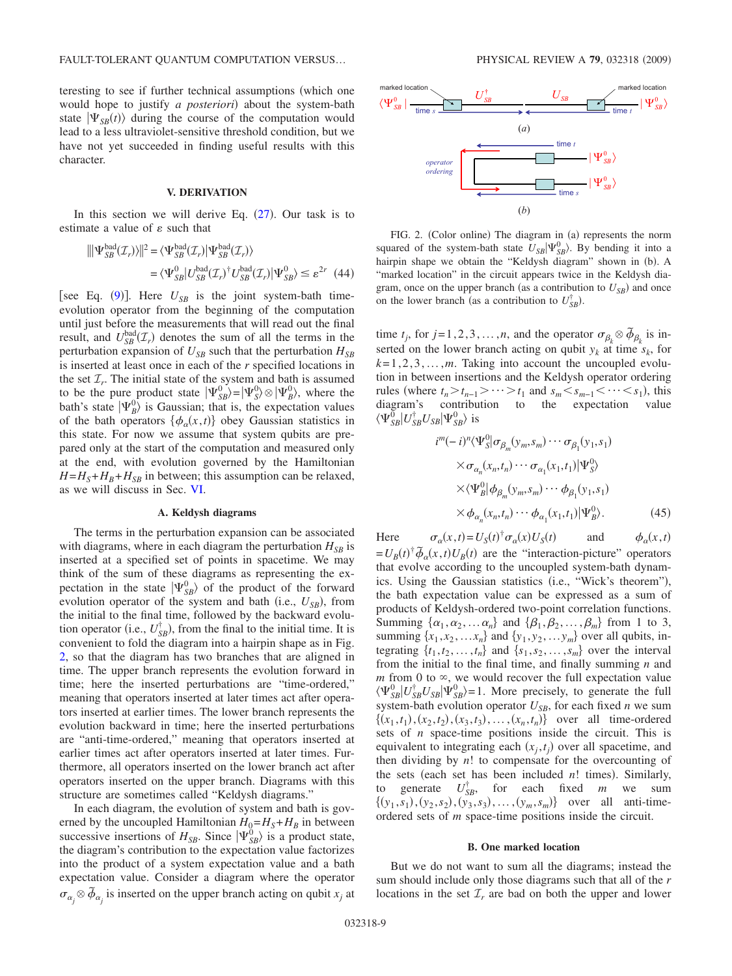teresting to see if further technical assumptions (which one would hope to justify *a posteriori*) about the system-bath state  $|\Psi_{SB}(t)\rangle$  during the course of the computation would lead to a less ultraviolet-sensitive threshold condition, but we have not yet succeeded in finding useful results with this character.

### **V. DERIVATION**

<span id="page-8-0"></span>In this section we will derive Eq.  $(27)$  $(27)$  $(27)$ . Our task is to estimate a value of  $\varepsilon$  such that

$$
\|\Psi_{SB}^{\text{bad}}(\mathcal{I}_r)\|^2 = \langle \Psi_{SB}^{\text{bad}}(\mathcal{I}_r) | \Psi_{SB}^{\text{bad}}(\mathcal{I}_r) \rangle
$$
  
=  $\langle \Psi_{SB}^0 | U_{SB}^{\text{bad}}(\mathcal{I}_r)^\dagger U_{SB}^{\text{bad}}(\mathcal{I}_r) | \Psi_{SB}^0 \rangle \le \varepsilon^{2r}$  (44)

[see Eq.  $(9)$  $(9)$  $(9)$ ]. Here  $U_{SB}$  is the joint system-bath timeevolution operator from the beginning of the computation until just before the measurements that will read out the final result, and  $U_{SB}^{\text{bad}}(\mathcal{I}_r)$  denotes the sum of all the terms in the perturbation expansion of  $U_{SB}$  such that the perturbation  $H_{SB}$ is inserted at least once in each of the *r* specified locations in the set  $\mathcal{I}_r$ . The initial state of the system and bath is assumed to be the pure product state  $|\Psi_{SB}^0\rangle = |\Psi_{S}^0\rangle \otimes |\Psi_{B}^0\rangle$ , where the bath's state  $|\Psi_B^0\rangle$  is Gaussian; that is, the expectation values of the bath operators  $\{\phi_{\alpha}(x,t)\}\$  obey Gaussian statistics in this state. For now we assume that system qubits are prepared only at the start of the computation and measured only at the end, with evolution governed by the Hamiltonian  $H = H<sub>S</sub> + H<sub>B</sub> + H<sub>SB</sub>$  in between; this assumption can be relaxed, as we will discuss in Sec. [VI.](#page-12-0)

### **A. Keldysh diagrams**

The terms in the perturbation expansion can be associated with diagrams, where in each diagram the perturbation  $H_{SB}$  is inserted at a specified set of points in spacetime. We may think of the sum of these diagrams as representing the expectation in the state  $|\Psi_{SB}^0\rangle$  of the product of the forward evolution operator of the system and bath (i.e.,  $U_{SB}$ ), from the initial to the final time, followed by the backward evolution operator (i.e.,  $U_{SB}^{\dagger}$ ), from the final to the initial time. It is convenient to fold the diagram into a hairpin shape as in Fig. [2,](#page-8-1) so that the diagram has two branches that are aligned in time. The upper branch represents the evolution forward in time; here the inserted perturbations are "time-ordered," meaning that operators inserted at later times act after operators inserted at earlier times. The lower branch represents the evolution backward in time; here the inserted perturbations are "anti-time-ordered," meaning that operators inserted at earlier times act after operators inserted at later times. Furthermore, all operators inserted on the lower branch act after operators inserted on the upper branch. Diagrams with this structure are sometimes called "Keldysh diagrams."

In each diagram, the evolution of system and bath is governed by the uncoupled Hamiltonian  $H_0 = H_S + H_B$  in between successive insertions of  $H_{SB}$ . Since  $|\Psi_{SB}^0\rangle$  is a product state, the diagram's contribution to the expectation value factorizes into the product of a system expectation value and a bath expectation value. Consider a diagram where the operator  $\sigma_{\alpha_j} \otimes \tilde{\phi}_{\alpha_j}$  is inserted on the upper branch acting on qubit *x<sub>j</sub>* at

<span id="page-8-1"></span>

FIG. 2. (Color online) The diagram in (a) represents the norm squared of the system-bath state  $U_{SB}|\Psi_{SB}^0\rangle$ . By bending it into a hairpin shape we obtain the "Keldysh diagram" shown in (b). A "marked location" in the circuit appears twice in the Keldysh diagram, once on the upper branch (as a contribution to  $U_{SB}$ ) and once on the lower branch (as a contribution to  $U_{SB}^{\dagger}$ ).

time  $t_j$ , for  $j = 1, 2, 3, ..., n$ , and the operator  $\sigma_{\beta_k} \otimes \tilde{\phi}_{\beta_k}$  is inserted on the lower branch acting on qubit  $y_k$  at time  $s_k$ , for  $k=1,2,3,...,m$ . Taking into account the uncoupled evolution in between insertions and the Keldysh operator ordering rules (where  $t_n > t_{n-1} > \cdots > t_1$  and  $s_m < s_{m-1} < \cdots < s_1$ ), this diagram's contribution to the expectation value  $\langle \Psi_{SB}^0 | U_{SB}^\dagger U_{SB} | \Psi_{SB}^0 \rangle$  is

$$
i^{m}(-i)^{n} \langle \Psi_{S}^{0} | \sigma_{\beta_{m}}(y_{m}, s_{m}) \cdots \sigma_{\beta_{1}}(y_{1}, s_{1})
$$
  
\n
$$
\times \sigma_{\alpha_{n}}(x_{n}, t_{n}) \cdots \sigma_{\alpha_{1}}(x_{1}, t_{1}) | \Psi_{S}^{0}\rangle
$$
  
\n
$$
\times \langle \Psi_{B}^{0} | \phi_{\beta_{m}}(y_{m}, s_{m}) \cdots \phi_{\beta_{1}}(y_{1}, s_{1})
$$
  
\n
$$
\times \phi_{\alpha_{n}}(x_{n}, t_{n}) \cdots \phi_{\alpha_{1}}(x_{1}, t_{1}) | \Psi_{B}^{0}\rangle.
$$
 (45)

Here  $\sigma_{\alpha}(x,t) = U_{S}(t)^{\dagger} \sigma_{\alpha}(x) U_{S}(t)$ and  $\phi_{\alpha}(x,t)$  $=U_B(t)^{\dagger} \tilde{\phi}_{\alpha}(x,t) U_B(t)$  are the "interaction-picture" operators that evolve according to the uncoupled system-bath dynamics. Using the Gaussian statistics (i.e., "Wick's theorem"), the bath expectation value can be expressed as a sum of products of Keldysh-ordered two-point correlation functions. Summing  $\{\alpha_1, \alpha_2, \ldots \alpha_n\}$  and  $\{\beta_1, \beta_2, \ldots, \beta_m\}$  from 1 to 3, summing  $\{x_1, x_2, \ldots, x_n\}$  and  $\{y_1, y_2, \ldots, y_m\}$  over all qubits, integrating  $\{t_1, t_2, \ldots, t_n\}$  and  $\{s_1, s_2, \ldots, s_m\}$  over the interval from the initial to the final time, and finally summing *n* and *m* from 0 to  $\infty$ , we would recover the full expectation value  $\langle \Psi_{SB}^0 | U_{SB}^{\dagger} U_{SB} | \Psi_{SB}^0 \rangle = 1$ . More precisely, to generate the full system-bath evolution operator  $U_{SB}$ , for each fixed *n* we sum  $\{(x_1, t_1), (x_2, t_2), (x_3, t_3), \ldots, (x_n, t_n)\}\$  over all time-ordered sets of *n* space-time positions inside the circuit. This is equivalent to integrating each  $(x_j, t_j)$  over all spacetime, and then dividing by *n*! to compensate for the overcounting of the sets (each set has been included  $n!$  times). Similarly, to generate  $U_{SB}^{\dagger}$ , for each fixed *m* we sum  $\{(y_1, s_1), (y_2, s_2), (y_3, s_3), \ldots, (y_m, s_m)\}\$  over all anti-timeordered sets of *m* space-time positions inside the circuit.

### **B. One marked location**

But we do not want to sum all the diagrams; instead the sum should include only those diagrams such that all of the *r* locations in the set  $\mathcal{I}_r$  are bad on both the upper and lower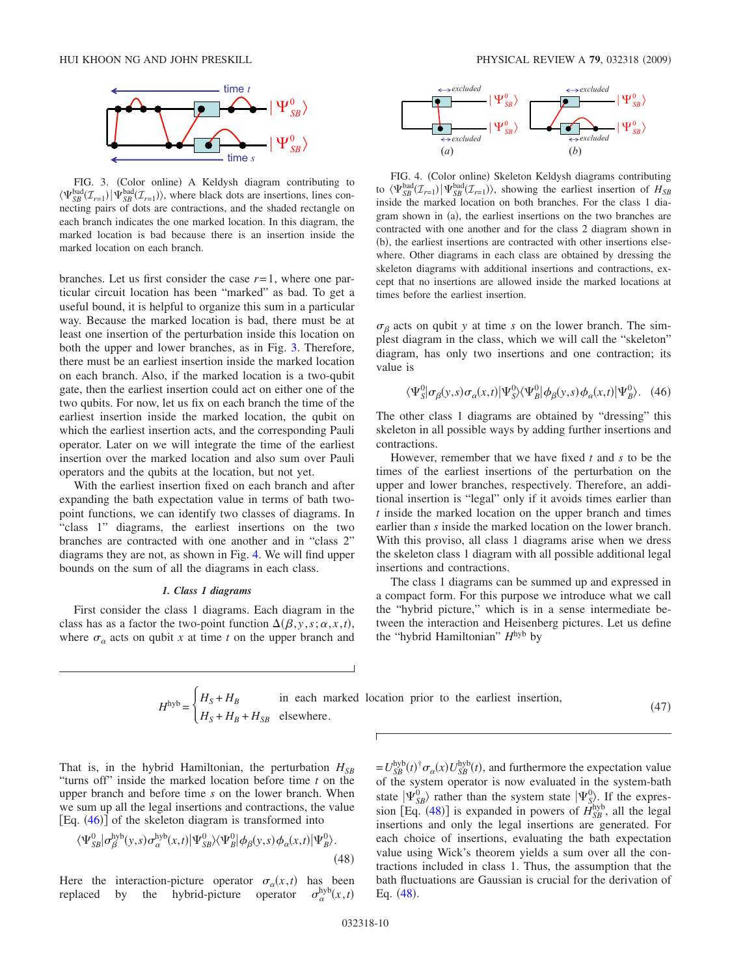<span id="page-9-0"></span>

FIG. 3. (Color online) A Keldysh diagram contributing to  $\langle \Psi_{SB}^{\text{bad}}(\mathcal{I}_{r=1}) | \Psi_{SB}^{\text{bad}}(\mathcal{I}_{r=1}) \rangle$ , where black dots are insertions, lines connecting pairs of dots are contractions, and the shaded rectangle on each branch indicates the one marked location. In this diagram, the marked location is bad because there is an insertion inside the marked location on each branch.

branches. Let us first consider the case  $r=1$ , where one particular circuit location has been "marked" as bad. To get a useful bound, it is helpful to organize this sum in a particular way. Because the marked location is bad, there must be at least one insertion of the perturbation inside this location on both the upper and lower branches, as in Fig. [3.](#page-9-0) Therefore, there must be an earliest insertion inside the marked location on each branch. Also, if the marked location is a two-qubit gate, then the earliest insertion could act on either one of the two qubits. For now, let us fix on each branch the time of the earliest insertion inside the marked location, the qubit on which the earliest insertion acts, and the corresponding Pauli operator. Later on we will integrate the time of the earliest insertion over the marked location and also sum over Pauli operators and the qubits at the location, but not yet.

With the earliest insertion fixed on each branch and after expanding the bath expectation value in terms of bath twopoint functions, we can identify two classes of diagrams. In "class 1" diagrams, the earliest insertions on the two branches are contracted with one another and in "class 2" diagrams they are not, as shown in Fig. [4.](#page-9-1) We will find upper bounds on the sum of all the diagrams in each class.

# *1. Class 1 diagrams*

<span id="page-9-4"></span>First consider the class 1 diagrams. Each diagram in the class has as a factor the two-point function  $\Delta(\beta, y, s; \alpha, x, t)$ , where  $\sigma_{\alpha}$  acts on qubit *x* at time *t* on the upper branch and

<span id="page-9-1"></span>

FIG. 4. (Color online) Skeleton Keldysh diagrams contributing to  $\langle \Psi_{SB}^{\text{bad}}(\mathcal{I}_{r=1}) | \Psi_{SB}^{\text{bad}}(\mathcal{I}_{r=1}) \rangle$ , showing the earliest insertion of  $H_{SB}$ inside the marked location on both branches. For the class 1 diagram shown in (a), the earliest insertions on the two branches are contracted with one another and for the class 2 diagram shown in (b), the earliest insertions are contracted with other insertions elsewhere. Other diagrams in each class are obtained by dressing the skeleton diagrams with additional insertions and contractions, except that no insertions are allowed inside the marked locations at times before the earliest insertion.

 $\sigma_{\beta}$  acts on qubit *y* at time *s* on the lower branch. The simplest diagram in the class, which we will call the "skeleton" diagram, has only two insertions and one contraction; its value is

$$
\langle \Psi_S^0 | \sigma_\beta(y,s) \sigma_\alpha(x,t) | \Psi_S^0 \rangle \langle \Psi_B^0 | \phi_\beta(y,s) \phi_\alpha(x,t) | \Psi_B^0 \rangle. \tag{46}
$$

<span id="page-9-2"></span>The other class 1 diagrams are obtained by "dressing" this skeleton in all possible ways by adding further insertions and contractions.

However, remember that we have fixed *t* and *s* to be the times of the earliest insertions of the perturbation on the upper and lower branches, respectively. Therefore, an additional insertion is "legal" only if it avoids times earlier than *t* inside the marked location on the upper branch and times earlier than *s* inside the marked location on the lower branch. With this proviso, all class 1 diagrams arise when we dress the skeleton class 1 diagram with all possible additional legal insertions and contractions.

The class 1 diagrams can be summed up and expressed in a compact form. For this purpose we introduce what we call the "hybrid picture," which is in a sense intermediate between the interaction and Heisenberg pictures. Let us define the "hybrid Hamiltonian" *H*hyb by

$$
H^{\rm hyb} = \begin{cases} H_S + H_B & \text{in each marked location prior to the earliest insertion,} \\ H_S + H_B + H_{SB} & \text{elsewhere.} \end{cases} \tag{47}
$$

That is, in the hybrid Hamiltonian, the perturbation  $H_{SB}$ "turns off" inside the marked location before time *t* on the upper branch and before time *s* on the lower branch. When we sum up all the legal insertions and contractions, the value  $[Eq. (46)]$  $[Eq. (46)]$  $[Eq. (46)]$  of the skeleton diagram is transformed into

$$
\langle \Psi_{SB}^{0} | \sigma_{\beta}^{\text{hyb}}(y,s) \sigma_{\alpha}^{\text{hyb}}(x,t) | \Psi_{SB}^{0} \rangle \langle \Psi_{B}^{0} | \phi_{\beta}(y,s) \phi_{\alpha}(x,t) | \Psi_{B}^{0} \rangle. \tag{48}
$$

<span id="page-9-3"></span>Here the interaction-picture operator  $\sigma_{\alpha}(x,t)$  has been replaced by the hybrid-picture operator  $\alpha^{\text{hyb}}(x,t)$ 

 $=U_{SB}^{\text{hyb}}(t)^{\dagger} \sigma_{\alpha}(x) U_{SB}^{\text{hyb}}(t)$ , and furthermore the expectation value of the system operator is now evaluated in the system-bath state  $|\Psi_{SB}^{0}\rangle$  rather than the system state  $|\Psi_{S}^{0}\rangle$ . If the expression  $\left[Eq. (48)\right]$  $\left[Eq. (48)\right]$  $\left[Eq. (48)\right]$  is expanded in powers of  $\tilde{H}_{SB}^{\text{hyb}}$ , all the legal insertions and only the legal insertions are generated. For each choice of insertions, evaluating the bath expectation value using Wick's theorem yields a sum over all the contractions included in class 1. Thus, the assumption that the bath fluctuations are Gaussian is crucial for the derivation of Eq.  $(48)$  $(48)$  $(48)$ .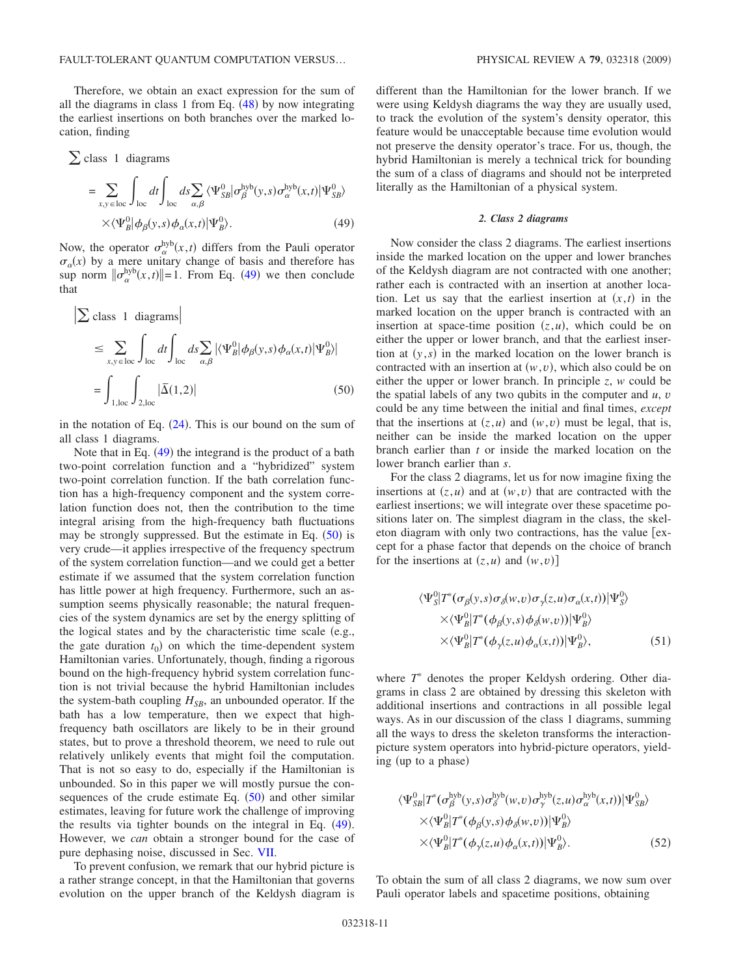Therefore, we obtain an exact expression for the sum of all the diagrams in class 1 from Eq.  $(48)$  $(48)$  $(48)$  by now integrating the earliest insertions on both branches over the marked location, finding

<span id="page-10-0"></span>
$$
\sum \text{class 1 diagrams}
$$
\n
$$
= \sum_{x,y \in \text{loc}} \int_{\text{loc}} dt \int_{\text{loc}} ds \sum_{\alpha,\beta} \langle \Psi_{SB}^{0} | \sigma_{\beta}^{\text{hyb}}(y,s) \sigma_{\alpha}^{\text{hyb}}(x,t) | \Psi_{SB}^{0} \rangle
$$
\n
$$
\times \langle \Psi_{B}^{0} | \phi_{\beta}(y,s) \phi_{\alpha}(x,t) | \Psi_{B}^{0} \rangle. \tag{49}
$$

Now, the operator  $\sigma_{\alpha}^{\text{hyb}}(x,t)$  differs from the Pauli operator  $\sigma_{\alpha}(x)$  by a mere unitary change of basis and therefore has sup norm  $\|\sigma_{\alpha}^{\text{hyb}}(x,t)\|=1$ . From Eq. ([49](#page-10-0)) we then conclude that

<span id="page-10-1"></span>
$$
\sum \text{class 1 diagrams}
$$
\n
$$
\leq \sum_{x,y \in \text{loc}} \int_{\text{loc}} dt \int_{\text{loc}} ds \sum_{\alpha,\beta} |\langle \Psi_B^0 | \phi_\beta(y,s) \phi_\alpha(x,t) | \Psi_B^0 \rangle|
$$
\n
$$
= \int_{1,\text{loc}} \int_{2,\text{loc}} |\bar{\Delta}(1,2)| \tag{50}
$$

in the notation of Eq.  $(24)$  $(24)$  $(24)$ . This is our bound on the sum of all class 1 diagrams.

Note that in Eq.  $(49)$  $(49)$  $(49)$  the integrand is the product of a bath two-point correlation function and a "hybridized" system two-point correlation function. If the bath correlation function has a high-frequency component and the system correlation function does not, then the contribution to the time integral arising from the high-frequency bath fluctuations may be strongly suppressed. But the estimate in Eq.  $(50)$  $(50)$  $(50)$  is very crude—it applies irrespective of the frequency spectrum of the system correlation function—and we could get a better estimate if we assumed that the system correlation function has little power at high frequency. Furthermore, such an assumption seems physically reasonable; the natural frequencies of the system dynamics are set by the energy splitting of the logical states and by the characteristic time scale  $(e.g.,)$ the gate duration  $t_0$  on which the time-dependent system Hamiltonian varies. Unfortunately, though, finding a rigorous bound on the high-frequency hybrid system correlation function is not trivial because the hybrid Hamiltonian includes the system-bath coupling  $H_{SB}$ , an unbounded operator. If the bath has a low temperature, then we expect that highfrequency bath oscillators are likely to be in their ground states, but to prove a threshold theorem, we need to rule out relatively unlikely events that might foil the computation. That is not so easy to do, especially if the Hamiltonian is unbounded. So in this paper we will mostly pursue the consequences of the crude estimate Eq.  $(50)$  $(50)$  $(50)$  and other similar estimates, leaving for future work the challenge of improving the results via tighter bounds on the integral in Eq. ([49](#page-10-0)). However, we *can* obtain a stronger bound for the case of pure dephasing noise, discussed in Sec. [VII.](#page-15-0)

To prevent confusion, we remark that our hybrid picture is a rather strange concept, in that the Hamiltonian that governs evolution on the upper branch of the Keldysh diagram is different than the Hamiltonian for the lower branch. If we were using Keldysh diagrams the way they are usually used, to track the evolution of the system's density operator, this feature would be unacceptable because time evolution would not preserve the density operator's trace. For us, though, the hybrid Hamiltonian is merely a technical trick for bounding the sum of a class of diagrams and should not be interpreted literally as the Hamiltonian of a physical system.

#### *2. Class 2 diagrams*

Now consider the class 2 diagrams. The earliest insertions inside the marked location on the upper and lower branches of the Keldysh diagram are not contracted with one another; rather each is contracted with an insertion at another location. Let us say that the earliest insertion at  $(x, t)$  in the marked location on the upper branch is contracted with an insertion at space-time position  $(z, u)$ , which could be on either the upper or lower branch, and that the earliest insertion at  $(y, s)$  in the marked location on the lower branch is contracted with an insertion at  $(w, v)$ , which also could be on either the upper or lower branch. In principle *z*, *w* could be the spatial labels of any two qubits in the computer and  $u, v$ could be any time between the initial and final times, *except* that the insertions at  $(z, u)$  and  $(w, v)$  must be legal, that is, neither can be inside the marked location on the upper branch earlier than *t* or inside the marked location on the lower branch earlier than *s*.

For the class 2 diagrams, let us for now imagine fixing the insertions at  $(z, u)$  and at  $(w, v)$  that are contracted with the earliest insertions; we will integrate over these spacetime positions later on. The simplest diagram in the class, the skeleton diagram with only two contractions, has the value  $\lceil e^{x} \rceil$ cept for a phase factor that depends on the choice of branch for the insertions at  $(z, u)$  and  $(w, v)$ 

$$
\langle \Psi_S^0 | T^* (\sigma_\beta(y, s) \sigma_\delta(w, v) \sigma_\gamma(z, u) \sigma_\alpha(x, t) ) | \Psi_S^0 \rangle
$$
  
 
$$
\times \langle \Psi_B^0 | T^* (\phi_\beta(y, s) \phi_\delta(w, v) ) | \Psi_B^0 \rangle
$$
  
 
$$
\times \langle \Psi_B^0 | T^* (\phi_\gamma(z, u) \phi_\alpha(x, t) ) | \Psi_B^0 \rangle, \tag{51}
$$

where  $T^*$  denotes the proper Keldysh ordering. Other diagrams in class 2 are obtained by dressing this skeleton with additional insertions and contractions in all possible legal ways. As in our discussion of the class 1 diagrams, summing all the ways to dress the skeleton transforms the interactionpicture system operators into hybrid-picture operators, yielding (up to a phase)

$$
\langle \Psi_{SB}^{0} | T^{*}(\sigma_{\beta}^{\text{hyb}}(y,s)\sigma_{\delta}^{\text{hyb}}(w,v)\sigma_{\gamma}^{\text{hyb}}(z,u)\sigma_{\alpha}^{\text{hyb}}(x,t)) | \Psi_{SB}^{0} \rangle
$$
  
 
$$
\times \langle \Psi_{B}^{0} | T^{*}(\phi_{\beta}(y,s)\phi_{\delta}(w,v)) | \Psi_{B}^{0} \rangle
$$
  
 
$$
\times \langle \Psi_{B}^{0} | T^{*}(\phi_{\gamma}(z,u)\phi_{\alpha}(x,t)) | \Psi_{B}^{0} \rangle.
$$
 (52)

To obtain the sum of all class 2 diagrams, we now sum over Pauli operator labels and spacetime positions, obtaining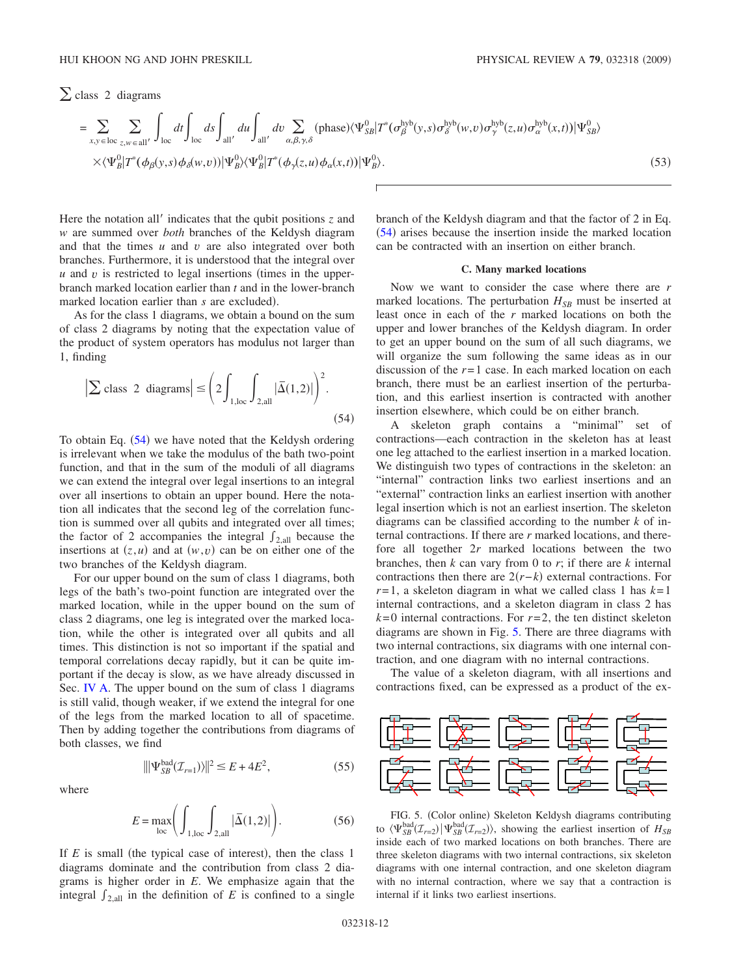$$
= \sum_{x,y \in \text{loc}} \sum_{z,w \in \text{all}'} \int_{\text{loc}} dt \int_{\text{loc}} ds \int_{\text{all}'} du \int_{\text{all}'} dv \sum_{\alpha,\beta,\gamma,\delta} (\text{phase}) \langle \Psi_{SB}^{0} | T^{*}(\sigma_{\beta}^{\text{hyb}}(y,s) \sigma_{\delta}^{\text{hyb}}(w,v) \sigma_{\gamma}^{\text{hyb}}(z,u) \sigma_{\alpha}^{\text{hyb}}(x,t)) | \Psi_{SB}^{0} \rangle
$$
  
 
$$
\times \langle \Psi_{B}^{0} | T^{*}(\phi_{\beta}(y,s) \phi_{\delta}(w,v)) | \Psi_{B}^{0} \rangle \langle \Psi_{B}^{0} | T^{*}(\phi_{\gamma}(z,u) \phi_{\alpha}(x,t)) | \Psi_{B}^{0} \rangle.
$$
 (53)

Here the notation all' indicates that the qubit positions  $\zeta$  and *w* are summed over *both* branches of the Keldysh diagram and that the times *u* and *v* are also integrated over both branches. Furthermore, it is understood that the integral over  *and*  $*v*$  *is restricted to legal insertions (times in the upper*branch marked location earlier than *t* and in the lower-branch marked location earlier than *s* are excluded).

As for the class 1 diagrams, we obtain a bound on the sum of class 2 diagrams by noting that the expectation value of the product of system operators has modulus not larger than 1, finding

<span id="page-11-1"></span>
$$
\left| \sum \text{class } 2 \text{ diagrams} \right| \le \left( 2 \int_{1, \text{loc}} \int_{2, \text{all}} |\bar{\Delta}(1, 2)| \right)^2. \tag{54}
$$

To obtain Eq.  $(54)$  $(54)$  $(54)$  we have noted that the Keldysh ordering is irrelevant when we take the modulus of the bath two-point function, and that in the sum of the moduli of all diagrams we can extend the integral over legal insertions to an integral over all insertions to obtain an upper bound. Here the notation all indicates that the second leg of the correlation function is summed over all qubits and integrated over all times; the factor of 2 accompanies the integral  $\int_{2,all}$  because the insertions at  $(z, u)$  and at  $(w, v)$  can be on either one of the two branches of the Keldysh diagram.

For our upper bound on the sum of class 1 diagrams, both legs of the bath's two-point function are integrated over the marked location, while in the upper bound on the sum of class 2 diagrams, one leg is integrated over the marked location, while the other is integrated over all qubits and all times. This distinction is not so important if the spatial and temporal correlations decay rapidly, but it can be quite important if the decay is slow, as we have already discussed in Sec. [IV A.](#page-6-1) The upper bound on the sum of class 1 diagrams is still valid, though weaker, if we extend the integral for one of the legs from the marked location to all of spacetime. Then by adding together the contributions from diagrams of both classes, we find

<span id="page-11-4"></span>where

$$
E = \max_{loc} \left( \int_{1,loc} \int_{2,all} |\bar{\Delta}(1,2)| \right). \tag{56}
$$

 $\|\Psi_{SB}^{\text{bad}}(\mathcal{I}_{r=1})\|^{2} \leq E + 4E^{2},$  (55)

<span id="page-11-3"></span>If  $E$  is small (the typical case of interest), then the class 1 diagrams dominate and the contribution from class 2 diagrams is higher order in *E*. We emphasize again that the integral  $\int_{2,all}$  in the definition of *E* is confined to a single branch of the Keldysh diagram and that the factor of 2 in Eq.  $(54)$  $(54)$  $(54)$  arises because the insertion inside the marked location can be contracted with an insertion on either branch.

## **C. Many marked locations**

<span id="page-11-0"></span>Now we want to consider the case where there are *r* marked locations. The perturbation  $H_{SB}$  must be inserted at least once in each of the *r* marked locations on both the upper and lower branches of the Keldysh diagram. In order to get an upper bound on the sum of all such diagrams, we will organize the sum following the same ideas as in our discussion of the  $r=1$  case. In each marked location on each branch, there must be an earliest insertion of the perturbation, and this earliest insertion is contracted with another insertion elsewhere, which could be on either branch.

A skeleton graph contains a "minimal" set of contractions—each contraction in the skeleton has at least one leg attached to the earliest insertion in a marked location. We distinguish two types of contractions in the skeleton: an "internal" contraction links two earliest insertions and an "external" contraction links an earliest insertion with another legal insertion which is not an earliest insertion. The skeleton diagrams can be classified according to the number *k* of internal contractions. If there are *r* marked locations, and therefore all together 2*r* marked locations between the two branches, then *k* can vary from 0 to *r*; if there are *k* internal contractions then there are  $2(r-k)$  external contractions. For  $r=1$ , a skeleton diagram in what we called class 1 has  $k=1$ internal contractions, and a skeleton diagram in class 2 has  $k=0$  internal contractions. For  $r=2$ , the ten distinct skeleton diagrams are shown in Fig. [5.](#page-11-2) There are three diagrams with two internal contractions, six diagrams with one internal contraction, and one diagram with no internal contractions.

The value of a skeleton diagram, with all insertions and contractions fixed, can be expressed as a product of the ex-

<span id="page-11-2"></span>

FIG. 5. (Color online) Skeleton Keldysh diagrams contributing to  $\langle \Psi_{SB}^{\text{bad}}(\mathcal{I}_{r=2}) | \Psi_{SB}^{\text{bad}}(\mathcal{I}_{r=2}) \rangle$ , showing the earliest insertion of  $H_{SB}$ inside each of two marked locations on both branches. There are three skeleton diagrams with two internal contractions, six skeleton diagrams with one internal contraction, and one skeleton diagram with no internal contraction, where we say that a contraction is internal if it links two earliest insertions.

 $(55)$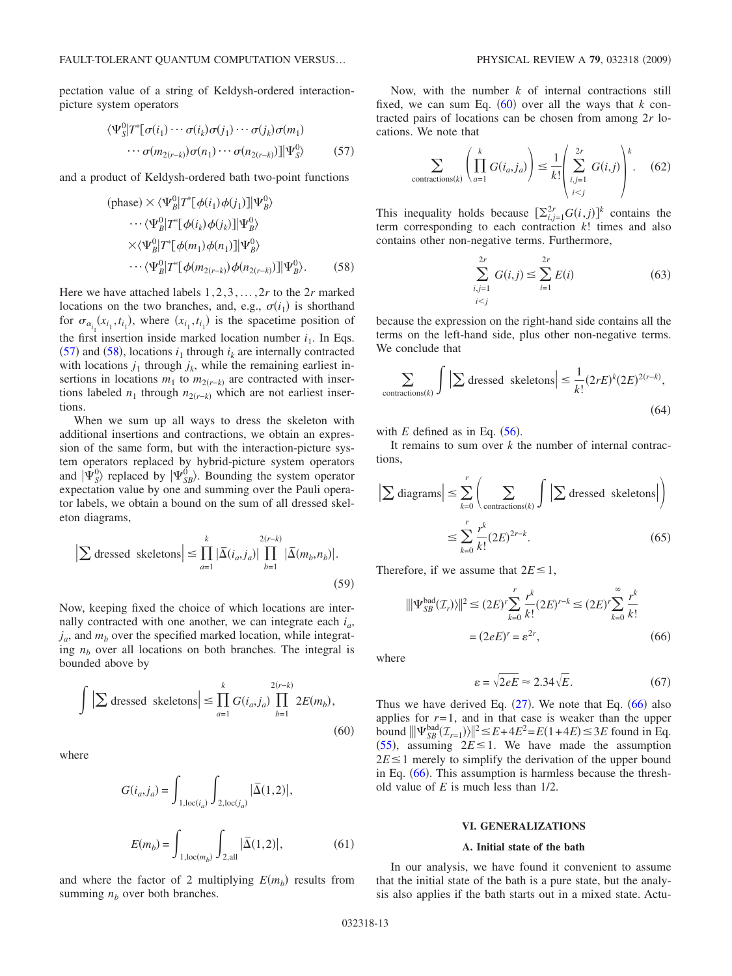pectation value of a string of Keldysh-ordered interactionpicture system operators

$$
\langle \Psi_S^0 | T^* [\sigma(i_1) \cdots \sigma(i_k) \sigma(j_1) \cdots \sigma(j_k) \sigma(m_1) \cdots \sigma(m_{2(r-k)}) \sigma(n_1) \cdots \sigma(n_{2(r-k)})] |\Psi_S^0 \rangle \tag{57}
$$

<span id="page-12-3"></span><span id="page-12-2"></span>and a product of Keldysh-ordered bath two-point functions

$$
\begin{aligned} \n(\text{phase}) &\times \langle \Psi_B^0 | T^* [\phi(i_1) \phi(j_1)] | \Psi_B^0 \rangle \\ \n&\cdots \langle \Psi_B^0 | T^* [\phi(i_k) \phi(j_k)] | \Psi_B^0 \rangle \\ \n&\times \langle \Psi_B^0 | T^* [\phi(m_1) \phi(n_1)] | \Psi_B^0 \rangle \\ \n&\cdots \langle \Psi_B^0 | T^* [\phi(m_{2(r-k)}) \phi(n_{2(r-k)})] | \Psi_B^0 \rangle. \n\end{aligned} \n\tag{58}
$$

Here we have attached labels 1,2,3,...,2*r* to the 2*r* marked locations on the two branches, and, e.g.,  $\sigma(i_1)$  is shorthand for  $\sigma_{\alpha_{i_1}}(x_{i_1}, t_{i_1})$ , where  $(x_{i_1}, t_{i_1})$  is the spacetime position of the first insertion inside marked location number  $i_1$ . In Eqs.  $(57)$  $(57)$  $(57)$  and  $(58)$  $(58)$  $(58)$ , locations  $i_1$  through  $i_k$  are internally contracted with locations  $j_1$  through  $j_k$ , while the remaining earliest insertions in locations  $m_1$  to  $m_{2(r-k)}$  are contracted with insertions labeled  $n_1$  through  $n_{2(r-k)}$  which are not earliest insertions.

When we sum up all ways to dress the skeleton with additional insertions and contractions, we obtain an expression of the same form, but with the interaction-picture system operators replaced by hybrid-picture system operators and  $|\Psi_{S}^{0}\rangle$  replaced by  $|\Psi_{SB}^{0}\rangle$ . Bounding the system operator expectation value by one and summing over the Pauli operator labels, we obtain a bound on the sum of all dressed skeleton diagrams,

$$
\left| \sum \text{dressed sketches} \right| \leq \prod_{a=1}^{k} \left| \bar{\Delta}(i_a, j_a) \right| \prod_{b=1}^{2(r-k)} \left| \bar{\Delta}(m_b, n_b) \right|.
$$
\n(59)

Now, keeping fixed the choice of which locations are internally contracted with one another, we can integrate each *ia*,  $j_a$ , and  $m_b$  over the specified marked location, while integrating  $n_b$  over all locations on both branches. The integral is bounded above by

<span id="page-12-4"></span>
$$
\int \left| \sum \text{dressed sketches} \right| \leq \prod_{a=1}^{k} G(i_a, j_a) \prod_{b=1}^{2(r-k)} 2E(m_b),\tag{60}
$$

where

$$
G(i_a, j_a) = \int_{1, \text{loc}(i_a)} \int_{2, \text{loc}(j_a)} |\bar{\Delta}(1, 2)|,
$$
  

$$
E(m_b) = \int_{1, \text{loc}(m_b)} \int_{2, \text{all}} |\bar{\Delta}(1, 2)|,
$$
 (61)

and where the factor of 2 multiplying  $E(m_b)$  results from summing  $n_b$  over both branches.

Now, with the number *k* of internal contractions still fixed, we can sum Eq.  $(60)$  $(60)$  $(60)$  over all the ways that  $k$  contracted pairs of locations can be chosen from among 2*r* locations. We note that

$$
\sum_{\text{contractions}(k)} \left( \prod_{a=1}^k G(i_a, j_a) \right) \leq \frac{1}{k!} \left( \sum_{\substack{i,j=1 \ i < j}}^{2r} G(i,j) \right)^k. \tag{62}
$$

This inequality holds because  $[\sum_{i,j=1}^{2r} G(i,j)]^k$  contains the term corresponding to each contraction *k*! times and also contains other non-negative terms. Furthermore,

$$
\sum_{\substack{i,j=1 \ i (63)
$$

because the expression on the right-hand side contains all the terms on the left-hand side, plus other non-negative terms. We conclude that

$$
\sum_{\text{contractions}(k)} \int \left| \sum \text{dressed} \text{ skeletal} \right| \le \frac{1}{k!} (2rE)^k (2E)^{2(r-k)},\tag{64}
$$

with  $E$  defined as in Eq.  $(56)$  $(56)$  $(56)$ .

It remains to sum over *k* the number of internal contractions,

$$
\left| \sum \text{diagrams} \right| \le \sum_{k=0}^{r} \left( \sum_{\text{contractions}(k)} \int \left| \sum \text{dressed sketches} \right| \right)
$$
  

$$
\le \sum_{k=0}^{r} \frac{r^k}{k!} (2E)^{2r-k}.
$$
 (65)

Therefore, if we assume that  $2E \leq 1$ ,

<span id="page-12-5"></span>
$$
\|\Psi_{SB}^{\text{bad}}(\mathcal{I}_r)\|^2 \le (2E)^r \sum_{k=0}^r \frac{r^k}{k!} (2E)^{r-k} \le (2E)^r \sum_{k=0}^\infty \frac{r^k}{k!}
$$

$$
= (2eE)^r = \varepsilon^{2r}, \tag{66}
$$

where

$$
\varepsilon = \sqrt{2eE} \approx 2.34\sqrt{E}.\tag{67}
$$

Thus we have derived Eq.  $(27)$  $(27)$  $(27)$ . We note that Eq.  $(66)$  $(66)$  $(66)$  also applies for  $r=1$ , and in that case is weaker than the upper bound  $\|\Psi_{SB}^{\text{bad}}(\mathcal{I}_{r=1})\|^{2} \leq E + 4E^{2} = E(1+4E) \leq 3E$  found in Eq.  $(55)$  $(55)$  $(55)$ , assuming  $2E \le 1$ . We have made the assumption  $2E \leq 1$  merely to simplify the derivation of the upper bound in Eq. ([66](#page-12-5)). This assumption is harmless because the threshold value of *E* is much less than 1/2.

### **VI. GENERALIZATIONS**

#### **A. Initial state of the bath**

<span id="page-12-1"></span><span id="page-12-0"></span>In our analysis, we have found it convenient to assume that the initial state of the bath is a pure state, but the analysis also applies if the bath starts out in a mixed state. Actu-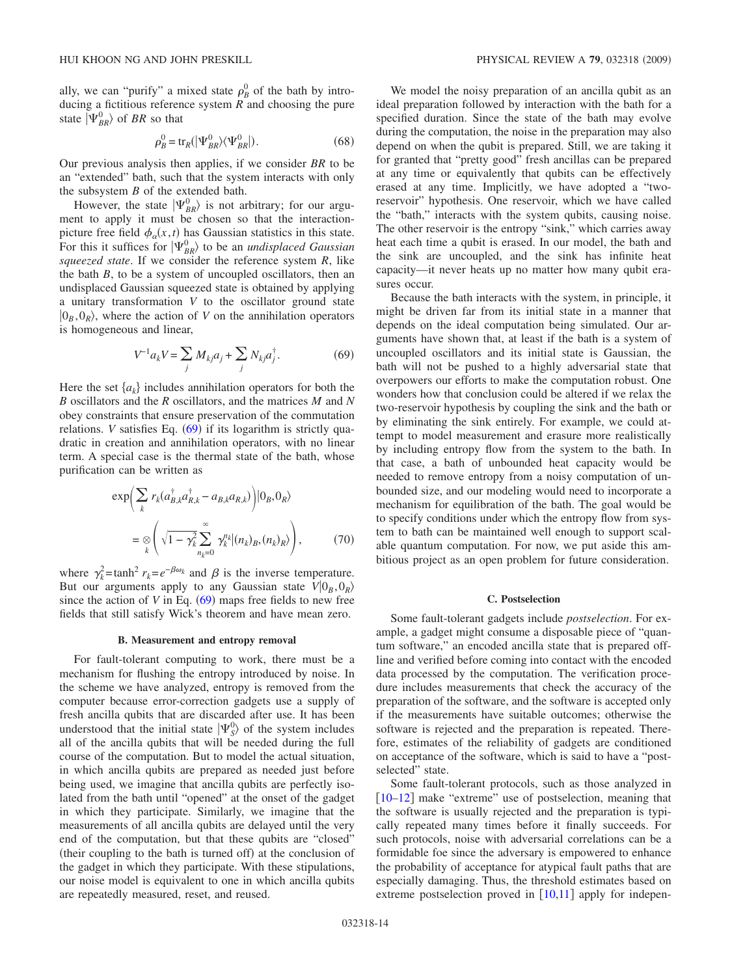ally, we can "purify" a mixed state  $\rho_B^0$  of the bath by introducing a fictitious reference system *R* and choosing the pure state  $|\Psi_{BR}^0\rangle$  of *BR* so that

$$
\rho_B^0 = \text{tr}_R(|\Psi_{BR}^0\rangle\langle\Psi_{BR}^0|). \tag{68}
$$

Our previous analysis then applies, if we consider *BR* to be an "extended" bath, such that the system interacts with only the subsystem *B* of the extended bath.

However, the state  $|\Psi_{BR}^{0}\rangle$  is not arbitrary; for our argument to apply it must be chosen so that the interactionpicture free field  $\phi_{\alpha}(x,t)$  has Gaussian statistics in this state. For this it suffices for  $|\Psi_{BR}^0\rangle$  to be an *undisplaced Gaussian squeezed state*. If we consider the reference system *R*, like the bath *B*, to be a system of uncoupled oscillators, then an undisplaced Gaussian squeezed state is obtained by applying a unitary transformation *V* to the oscillator ground state  $|0_B, 0_R\rangle$ , where the action of *V* on the annihilation operators is homogeneous and linear,

$$
V^{-1}a_k V = \sum_j M_{kj} a_j + \sum_j N_{kj} a_j^{\dagger}.
$$
 (69)

<span id="page-13-0"></span>Here the set  $\{a_k\}$  includes annihilation operators for both the *B* oscillators and the *R* oscillators, and the matrices *M* and *N* obey constraints that ensure preservation of the commutation relations. *V* satisfies Eq.  $(69)$  $(69)$  $(69)$  if its logarithm is strictly quadratic in creation and annihilation operators, with no linear term. A special case is the thermal state of the bath, whose purification can be written as

$$
\exp\left(\sum_{k} r_k (a_{B,k}^{\dagger} a_{R,k}^{\dagger} - a_{B,k} a_{R,k})\right) |0_B, 0_R\rangle
$$

$$
= \otimes \left(\sqrt{1 - \gamma_k^2} \sum_{n_k=0}^{\infty} \gamma_k^{n_k} |(n_k)_{B}, (n_k)_R\rangle\right), \tag{70}
$$

where  $\gamma_k^2 = \tanh^2 r_k = e^{-\beta \omega_k}$  and  $\beta$  is the inverse temperature. But our arguments apply to any Gaussian state  $V|0_B, 0_R\rangle$ since the action of  $V$  in Eq.  $(69)$  $(69)$  $(69)$  maps free fields to new free fields that still satisfy Wick's theorem and have mean zero.

### **B. Measurement and entropy removal**

For fault-tolerant computing to work, there must be a mechanism for flushing the entropy introduced by noise. In the scheme we have analyzed, entropy is removed from the computer because error-correction gadgets use a supply of fresh ancilla qubits that are discarded after use. It has been understood that the initial state  $|\Psi_{S}^{0}\rangle$  of the system includes all of the ancilla qubits that will be needed during the full course of the computation. But to model the actual situation, in which ancilla qubits are prepared as needed just before being used, we imagine that ancilla qubits are perfectly isolated from the bath until "opened" at the onset of the gadget in which they participate. Similarly, we imagine that the measurements of all ancilla qubits are delayed until the very end of the computation, but that these qubits are "closed" (their coupling to the bath is turned off) at the conclusion of the gadget in which they participate. With these stipulations, our noise model is equivalent to one in which ancilla qubits are repeatedly measured, reset, and reused.

We model the noisy preparation of an ancilla qubit as an ideal preparation followed by interaction with the bath for a specified duration. Since the state of the bath may evolve during the computation, the noise in the preparation may also depend on when the qubit is prepared. Still, we are taking it for granted that "pretty good" fresh ancillas can be prepared at any time or equivalently that qubits can be effectively erased at any time. Implicitly, we have adopted a "tworeservoir" hypothesis. One reservoir, which we have called the "bath," interacts with the system qubits, causing noise. The other reservoir is the entropy "sink," which carries away heat each time a qubit is erased. In our model, the bath and the sink are uncoupled, and the sink has infinite heat capacity—it never heats up no matter how many qubit erasures occur.

Because the bath interacts with the system, in principle, it might be driven far from its initial state in a manner that depends on the ideal computation being simulated. Our arguments have shown that, at least if the bath is a system of uncoupled oscillators and its initial state is Gaussian, the bath will not be pushed to a highly adversarial state that overpowers our efforts to make the computation robust. One wonders how that conclusion could be altered if we relax the two-reservoir hypothesis by coupling the sink and the bath or by eliminating the sink entirely. For example, we could attempt to model measurement and erasure more realistically by including entropy flow from the system to the bath. In that case, a bath of unbounded heat capacity would be needed to remove entropy from a noisy computation of unbounded size, and our modeling would need to incorporate a mechanism for equilibration of the bath. The goal would be to specify conditions under which the entropy flow from system to bath can be maintained well enough to support scalable quantum computation. For now, we put aside this ambitious project as an open problem for future consideration.

#### **C. Postselection**

Some fault-tolerant gadgets include *postselection*. For example, a gadget might consume a disposable piece of "quantum software," an encoded ancilla state that is prepared offline and verified before coming into contact with the encoded data processed by the computation. The verification procedure includes measurements that check the accuracy of the preparation of the software, and the software is accepted only if the measurements have suitable outcomes; otherwise the software is rejected and the preparation is repeated. Therefore, estimates of the reliability of gadgets are conditioned on acceptance of the software, which is said to have a "postselected" state.

Some fault-tolerant protocols, such as those analyzed in [[10](#page-19-8)[–12](#page-19-10)] make "extreme" use of postselection, meaning that the software is usually rejected and the preparation is typically repeated many times before it finally succeeds. For such protocols, noise with adversarial correlations can be a formidable foe since the adversary is empowered to enhance the probability of acceptance for atypical fault paths that are especially damaging. Thus, the threshold estimates based on extreme postselection proved in  $[10,11]$  $[10,11]$  $[10,11]$  $[10,11]$  apply for indepen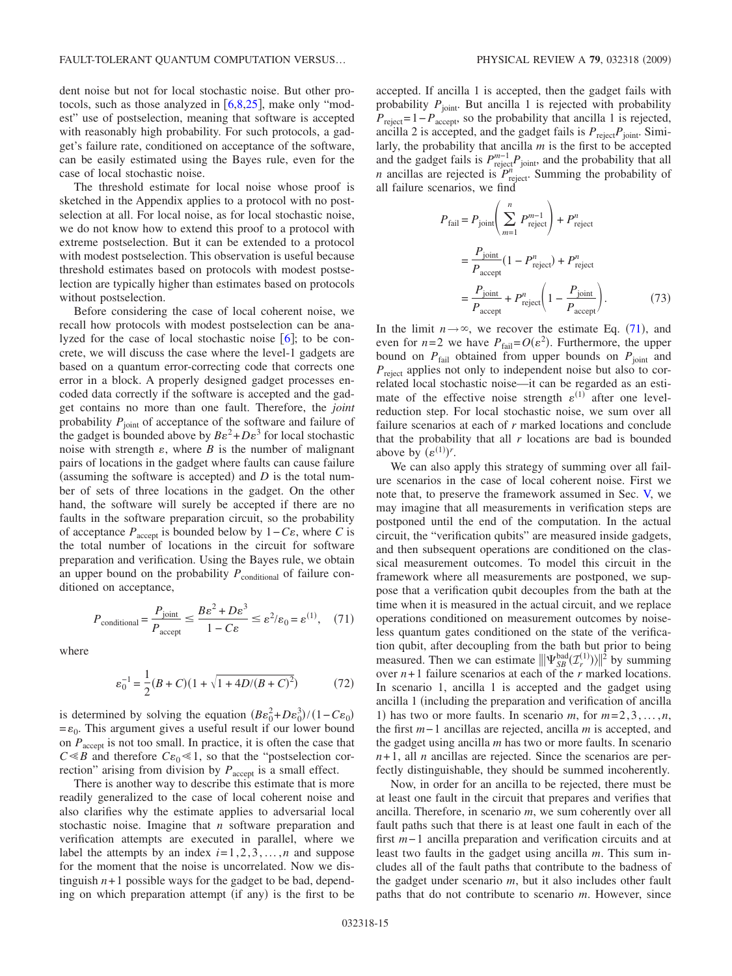dent noise but not for local stochastic noise. But other protocols, such as those analyzed in  $[6,8,25]$  $[6,8,25]$  $[6,8,25]$  $[6,8,25]$  $[6,8,25]$ , make only "modest" use of postselection, meaning that software is accepted with reasonably high probability. For such protocols, a gadget's failure rate, conditioned on acceptance of the software, can be easily estimated using the Bayes rule, even for the case of local stochastic noise.

The threshold estimate for local noise whose proof is sketched in the Appendix applies to a protocol with no postselection at all. For local noise, as for local stochastic noise, we do not know how to extend this proof to a protocol with extreme postselection. But it can be extended to a protocol with modest postselection. This observation is useful because threshold estimates based on protocols with modest postselection are typically higher than estimates based on protocols without postselection.

Before considering the case of local coherent noise, we recall how protocols with modest postselection can be analyzed for the case of local stochastic noise  $\lceil 6 \rceil$  $\lceil 6 \rceil$  $\lceil 6 \rceil$ ; to be concrete, we will discuss the case where the level-1 gadgets are based on a quantum error-correcting code that corrects one error in a block. A properly designed gadget processes encoded data correctly if the software is accepted and the gadget contains no more than one fault. Therefore, the *joint* probability  $P_{\text{joint}}$  of acceptance of the software and failure of the gadget is bounded above by  $B\varepsilon^2 + D\varepsilon^3$  for local stochastic noise with strength  $\varepsilon$ , where *B* is the number of malignant pairs of locations in the gadget where faults can cause failure (assuming the software is accepted) and  $D$  is the total number of sets of three locations in the gadget. On the other hand, the software will surely be accepted if there are no faults in the software preparation circuit, so the probability of acceptance  $P_{\text{accept}}$  is bounded below by  $1 - C\varepsilon$ , where *C* is the total number of locations in the circuit for software preparation and verification. Using the Bayes rule, we obtain an upper bound on the probability  $P_{\text{conditional}}$  of failure conditioned on acceptance,

$$
P_{\text{conditional}} = \frac{P_{\text{joint}}}{P_{\text{accept}}} \le \frac{B\varepsilon^2 + D\varepsilon^3}{1 - C\varepsilon} \le \varepsilon^2/\varepsilon_0 = \varepsilon^{(1)}, \quad (71)
$$

<span id="page-14-0"></span>where

$$
\varepsilon_0^{-1} = \frac{1}{2}(B+C)(1+\sqrt{1+4D/(B+C)^2})\tag{72}
$$

is determined by solving the equation  $(B\varepsilon_0^2 + D\varepsilon_0^3)/(1 - C\varepsilon_0)$  $=\varepsilon_0$ . This argument gives a useful result if our lower bound on *P*accept is not too small. In practice, it is often the case that  $C \ll B$  and therefore  $C\varepsilon_0 \ll 1$ , so that the "postselection correction" arising from division by  $P_{\text{accept}}$  is a small effect.

There is another way to describe this estimate that is more readily generalized to the case of local coherent noise and also clarifies why the estimate applies to adversarial local stochastic noise. Imagine that *n* software preparation and verification attempts are executed in parallel, where we label the attempts by an index  $i=1,2,3,...,n$  and suppose for the moment that the noise is uncorrelated. Now we distinguish  $n+1$  possible ways for the gadget to be bad, depending on which preparation attempt (if any) is the first to be

accepted. If ancilla 1 is accepted, then the gadget fails with probability  $P_{\text{joint}}$ . But ancilla 1 is rejected with probability  $P_{\text{reject}} = 1 - P_{\text{accept}}$ , so the probability that ancilla 1 is rejected, ancilla 2 is accepted, and the gadget fails is  $P_{\text{reject}} P_{\text{joint}}$ . Similarly, the probability that ancilla *m* is the first to be accepted and the gadget fails is  $P_{\text{reject}}^{m-1} P_{\text{joint}}$ , and the probability that all *n* ancillas are rejected is  $P_{\text{reject}}^n$ . Summing the probability of all failure scenarios, we find

$$
P_{\text{fail}} = P_{\text{joint}} \left( \sum_{m=1}^{n} P_{\text{reject}}^{m-1} \right) + P_{\text{reject}}^{n}
$$

$$
= \frac{P_{\text{joint}}}{P_{\text{accept}}} (1 - P_{\text{reject}}^{n}) + P_{\text{reject}}^{n}
$$

$$
= \frac{P_{\text{joint}}}{P_{\text{accept}}} + P_{\text{reject}}^{n} \left( 1 - \frac{P_{\text{joint}}}{P_{\text{accept}}} \right). \tag{73}
$$

In the limit  $n \rightarrow \infty$ , we recover the estimate Eq. ([71](#page-14-0)), and even for  $n=2$  we have  $P_{\text{fail}} = O(\varepsilon^2)$ . Furthermore, the upper bound on  $P_{\text{fail}}$  obtained from upper bounds on  $P_{\text{joint}}$  and *P*<sub>reject</sub> applies not only to independent noise but also to correlated local stochastic noise—it can be regarded as an estimate of the effective noise strength  $\varepsilon$ <sup>(1)</sup> after one levelreduction step. For local stochastic noise, we sum over all failure scenarios at each of *r* marked locations and conclude that the probability that all  $r$  locations are bad is bounded above by  $(\varepsilon^{(1)})^r$ .

We can also apply this strategy of summing over all failure scenarios in the case of local coherent noise. First we note that, to preserve the framework assumed in Sec. [V,](#page-8-0) we may imagine that all measurements in verification steps are postponed until the end of the computation. In the actual circuit, the "verification qubits" are measured inside gadgets, and then subsequent operations are conditioned on the classical measurement outcomes. To model this circuit in the framework where all measurements are postponed, we suppose that a verification qubit decouples from the bath at the time when it is measured in the actual circuit, and we replace operations conditioned on measurement outcomes by noiseless quantum gates conditioned on the state of the verification qubit, after decoupling from the bath but prior to being measured. Then we can estimate  $\|\Psi_{SB}^{\text{bad}}(\mathcal{I}_r^{(1)})\|^2$  by summing over *n*+ 1 failure scenarios at each of the *r* marked locations. In scenario 1, ancilla 1 is accepted and the gadget using ancilla 1 (including the preparation and verification of ancilla 1) has two or more faults. In scenario *m*, for  $m=2,3,\ldots,n$ , the first *m*− 1 ancillas are rejected, ancilla *m* is accepted, and the gadget using ancilla *m* has two or more faults. In scenario  $n+1$ , all *n* ancillas are rejected. Since the scenarios are perfectly distinguishable, they should be summed incoherently.

Now, in order for an ancilla to be rejected, there must be at least one fault in the circuit that prepares and verifies that ancilla. Therefore, in scenario *m*, we sum coherently over all fault paths such that there is at least one fault in each of the first *m*− 1 ancilla preparation and verification circuits and at least two faults in the gadget using ancilla *m*. This sum includes all of the fault paths that contribute to the badness of the gadget under scenario *m*, but it also includes other fault paths that do not contribute to scenario *m*. However, since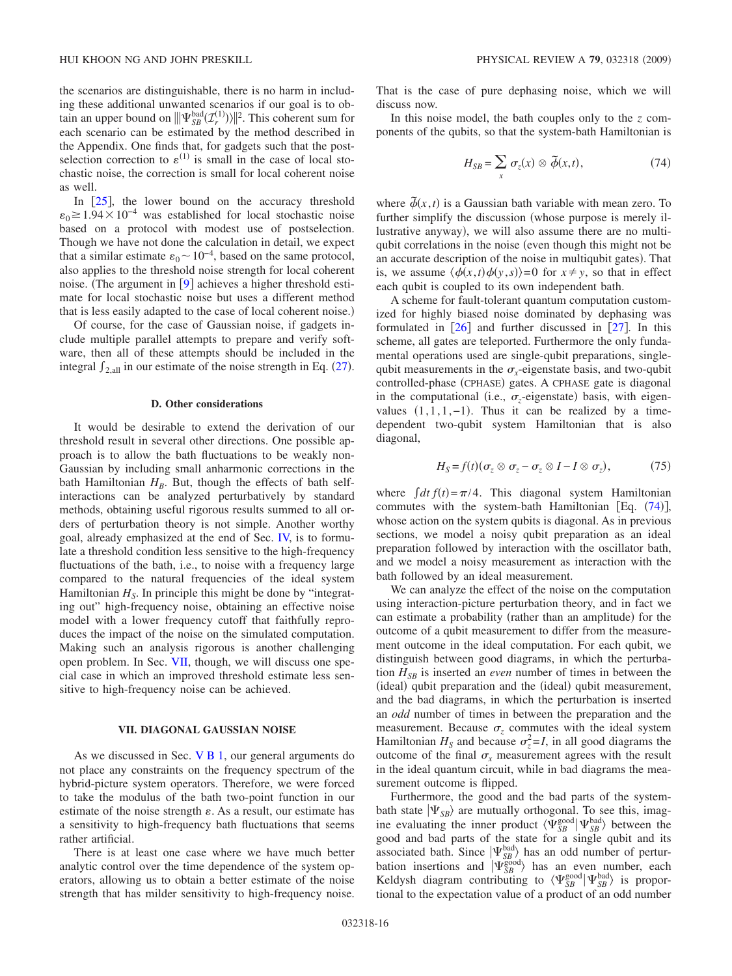the scenarios are distinguishable, there is no harm in including these additional unwanted scenarios if our goal is to obtain an upper bound on  $\|\Psi_{SB}^{\text{bad}}(\mathcal{I}_r^{(1)})\|^2$ . This coherent sum for each scenario can be estimated by the method described in the Appendix. One finds that, for gadgets such that the postselection correction to  $\varepsilon^{(1)}$  is small in the case of local stochastic noise, the correction is small for local coherent noise as well.

In  $[25]$  $[25]$  $[25]$ , the lower bound on the accuracy threshold  $\varepsilon_0 \geq 1.94 \times 10^{-4}$  was established for local stochastic noise based on a protocol with modest use of postselection. Though we have not done the calculation in detail, we expect that a similar estimate  $\varepsilon_0 \sim 10^{-4}$ , based on the same protocol, also applies to the threshold noise strength for local coherent noise. (The argument in  $[9]$  $[9]$  $[9]$  achieves a higher threshold estimate for local stochastic noise but uses a different method that is less easily adapted to the case of local coherent noise.)

Of course, for the case of Gaussian noise, if gadgets include multiple parallel attempts to prepare and verify software, then all of these attempts should be included in the integral  $\int_{2,all}$  in our estimate of the noise strength in Eq. ([27](#page-5-2)).

### **D. Other considerations**

It would be desirable to extend the derivation of our threshold result in several other directions. One possible approach is to allow the bath fluctuations to be weakly non-Gaussian by including small anharmonic corrections in the bath Hamiltonian  $H_B$ . But, though the effects of bath selfinteractions can be analyzed perturbatively by standard methods, obtaining useful rigorous results summed to all orders of perturbation theory is not simple. Another worthy goal, already emphasized at the end of Sec. [IV,](#page-6-0) is to formulate a threshold condition less sensitive to the high-frequency fluctuations of the bath, i.e., to noise with a frequency large compared to the natural frequencies of the ideal system Hamiltonian  $H<sub>S</sub>$ . In principle this might be done by "integrating out" high-frequency noise, obtaining an effective noise model with a lower frequency cutoff that faithfully reproduces the impact of the noise on the simulated computation. Making such an analysis rigorous is another challenging open problem. In Sec. [VII,](#page-15-0) though, we will discuss one special case in which an improved threshold estimate less sensitive to high-frequency noise can be achieved.

### **VII. DIAGONAL GAUSSIAN NOISE**

<span id="page-15-0"></span>As we discussed in Sec.  $V$  B 1, our general arguments do not place any constraints on the frequency spectrum of the hybrid-picture system operators. Therefore, we were forced to take the modulus of the bath two-point function in our estimate of the noise strength  $\varepsilon$ . As a result, our estimate has a sensitivity to high-frequency bath fluctuations that seems rather artificial.

There is at least one case where we have much better analytic control over the time dependence of the system operators, allowing us to obtain a better estimate of the noise strength that has milder sensitivity to high-frequency noise.

That is the case of pure dephasing noise, which we will discuss now.

In this noise model, the bath couples only to the *z* components of the qubits, so that the system-bath Hamiltonian is

$$
H_{SB} = \sum_{x} \sigma_z(x) \otimes \tilde{\phi}(x, t), \qquad (74)
$$

<span id="page-15-1"></span>where  $\tilde{\phi}(x,t)$  is a Gaussian bath variable with mean zero. To further simplify the discussion (whose purpose is merely illustrative anyway), we will also assume there are no multiqubit correlations in the noise (even though this might not be an accurate description of the noise in multiqubit gates). That is, we assume  $\langle \phi(x,t) \phi(y,s) \rangle = 0$  for  $x \neq y$ , so that in effect each qubit is coupled to its own independent bath.

A scheme for fault-tolerant quantum computation customized for highly biased noise dominated by dephasing was formulated in  $[26]$  $[26]$  $[26]$  and further discussed in  $[27]$  $[27]$  $[27]$ . In this scheme, all gates are teleported. Furthermore the only fundamental operations used are single-qubit preparations, singlequbit measurements in the  $\sigma_r$ -eigenstate basis, and two-qubit controlled-phase (CPHASE) gates. A CPHASE gate is diagonal in the computational (i.e.,  $\sigma_z$ -eigenstate) basis, with eigenvalues  $(1,1,1,-1)$ . Thus it can be realized by a timedependent two-qubit system Hamiltonian that is also diagonal,

$$
H_S = f(t)(\sigma_z \otimes \sigma_z - \sigma_z \otimes I - I \otimes \sigma_z), \tag{75}
$$

where  $\int dt f(t) = \pi/4$ . This diagonal system Hamiltonian commutes with the system-bath Hamiltonian [Eq.  $(74)$  $(74)$  $(74)$ ], whose action on the system qubits is diagonal. As in previous sections, we model a noisy qubit preparation as an ideal preparation followed by interaction with the oscillator bath, and we model a noisy measurement as interaction with the bath followed by an ideal measurement.

We can analyze the effect of the noise on the computation using interaction-picture perturbation theory, and in fact we can estimate a probability (rather than an amplitude) for the outcome of a qubit measurement to differ from the measurement outcome in the ideal computation. For each qubit, we distinguish between good diagrams, in which the perturbation  $H_{SB}$  is inserted an *even* number of times in between the (ideal) qubit preparation and the (ideal) qubit measurement, and the bad diagrams, in which the perturbation is inserted an *odd* number of times in between the preparation and the measurement. Because  $\sigma_z$  commutes with the ideal system Hamiltonian  $H_S$  and because  $\sigma_z^2 = I$ , in all good diagrams the outcome of the final  $\sigma_x$  measurement agrees with the result in the ideal quantum circuit, while in bad diagrams the measurement outcome is flipped.

Furthermore, the good and the bad parts of the systembath state  $|\Psi_{SB}\rangle$  are mutually orthogonal. To see this, imagine evaluating the inner product  $\langle \Psi_{SB}^{\text{good}} | \Psi_{SB}^{\text{bad}} \rangle$  between the good and bad parts of the state for a single qubit and its associated bath. Since  $|\Psi_{SB}^{\text{bad}}\rangle$  has an odd number of perturbation insertions and  $|\Psi_{SB}^{\text{good}}\rangle$  has an even number, each Keldysh diagram contributing to  $\langle \Psi_{SB}^{\text{good}} | \Psi_{SB}^{\text{bad}} \rangle$  is proportional to the expectation value of a product of an odd number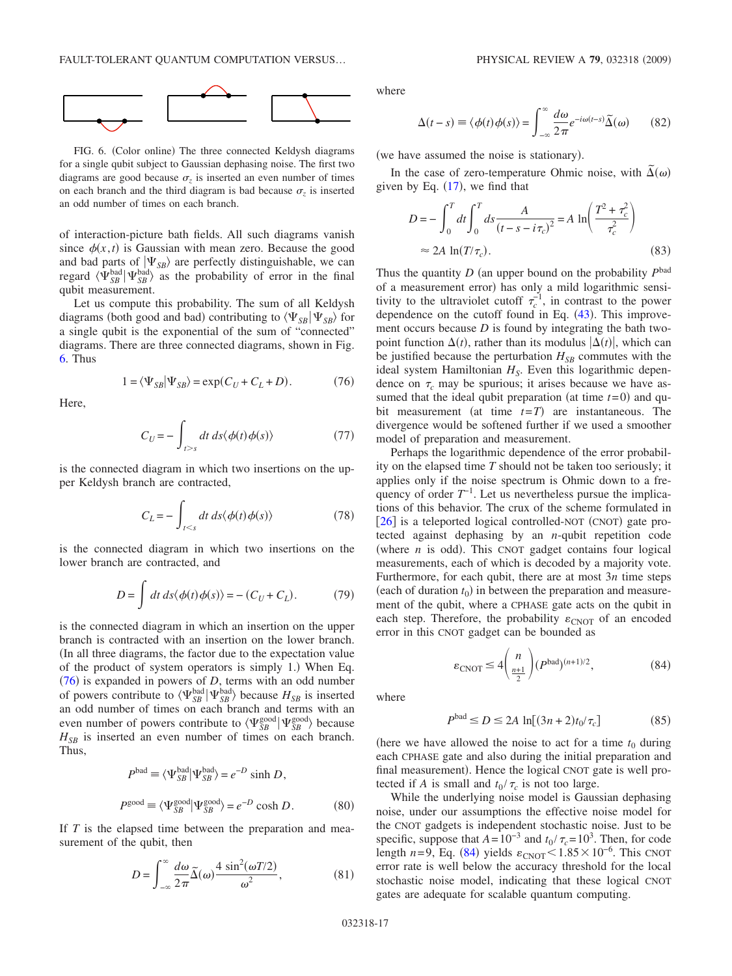<span id="page-16-0"></span>

FIG. 6. (Color online) The three connected Keldysh diagrams for a single qubit subject to Gaussian dephasing noise. The first two diagrams are good because  $\sigma_z$  is inserted an even number of times on each branch and the third diagram is bad because  $\sigma_z$  is inserted an odd number of times on each branch.

of interaction-picture bath fields. All such diagrams vanish since  $\phi(x, t)$  is Gaussian with mean zero. Because the good and bad parts of  $|\Psi_{SB}\rangle$  are perfectly distinguishable, we can regard  $\langle \Psi_{SB}^{\text{bad}} | \Psi_{SB}^{\text{bad}} \rangle$  as the probability of error in the final qubit measurement.

Let us compute this probability. The sum of all Keldysh diagrams (both good and bad) contributing to  $\langle \Psi_{SB} | \Psi_{SB} \rangle$  for a single qubit is the exponential of the sum of "connected" diagrams. There are three connected diagrams, shown in Fig. [6.](#page-16-0) Thus

$$
1 = \langle \Psi_{SB} | \Psi_{SB} \rangle = \exp(C_U + C_L + D). \tag{76}
$$

<span id="page-16-1"></span>Here,

$$
C_U = -\int_{t>s} dt \, ds \langle \phi(t)\phi(s) \rangle \tag{77}
$$

is the connected diagram in which two insertions on the upper Keldysh branch are contracted,

$$
C_L = -\int_{t < s} dt \, ds \langle \phi(t)\phi(s) \rangle \tag{78}
$$

is the connected diagram in which two insertions on the lower branch are contracted, and

$$
D = \int dt \, ds \langle \phi(t) \phi(s) \rangle = - (C_U + C_L). \tag{79}
$$

is the connected diagram in which an insertion on the upper branch is contracted with an insertion on the lower branch. In all three diagrams, the factor due to the expectation value of the product of system operators is simply 1.) When Eq.  $(76)$  $(76)$  $(76)$  is expanded in powers of *D*, terms with an odd number of powers contribute to  $\langle \Psi_{SB}^{\text{bad}} | \Psi_{SB}^{\text{bad}} \rangle$  because  $H_{SB}$  is inserted an odd number of times on each branch and terms with an even number of powers contribute to  $\langle \Psi_{SB}^{\text{good}} | \Psi_{SB}^{\text{good}} \rangle$  because  $H_{SB}$  is inserted an even number of times on each branch. Thus,

$$
Pbad \equiv \langle \Psi_{SB}^{bad} | \Psi_{SB}^{bad} \rangle = e^{-D} \sinh D,
$$
  

$$
Pgood \equiv \langle \Psi_{SB}^{good} | \Psi_{SB}^{good} \rangle = e^{-D} \cosh D.
$$
 (80)

If *T* is the elapsed time between the preparation and measurement of the qubit, then

$$
D = \int_{-\infty}^{\infty} \frac{d\omega}{2\pi} \widetilde{\Delta}(\omega) \frac{4 \sin^2(\omega T/2)}{\omega^2},
$$
 (81)

where

$$
\Delta(t - s) \equiv \langle \phi(t) \phi(s) \rangle = \int_{-\infty}^{\infty} \frac{d\omega}{2\pi} e^{-i\omega(t - s)} \tilde{\Delta}(\omega) \qquad (82)
$$

(we have assumed the noise is stationary).

In the case of zero-temperature Ohmic noise, with  $\tilde{\Delta}(\omega)$ given by Eq.  $(17)$  $(17)$  $(17)$ , we find that

$$
D = -\int_0^T dt \int_0^T ds \frac{A}{(t - s - i\tau_c)^2} = A \ln\left(\frac{T^2 + \tau_c^2}{\tau_c^2}\right)
$$
  

$$
\approx 2A \ln(T/\tau_c).
$$
 (83)

Thus the quantity  $D$  (an upper bound on the probability  $P<sup>bad</sup>$ of a measurement error) has only a mild logarithmic sensitivity to the ultraviolet cutoff  $\tau_c^{-1}$ , in contrast to the power dependence on the cutoff found in Eq.  $(43)$  $(43)$  $(43)$ . This improvement occurs because  $D$  is found by integrating the bath twopoint function  $\Delta(t)$ , rather than its modulus  $|\Delta(t)|$ , which can be justified because the perturbation  $H_{SB}$  commutes with the ideal system Hamiltonian  $H<sub>S</sub>$ . Even this logarithmic dependence on  $\tau_c$  may be spurious; it arises because we have assumed that the ideal qubit preparation (at time  $t=0$ ) and qubit measurement (at time  $t = T$ ) are instantaneous. The divergence would be softened further if we used a smoother model of preparation and measurement.

Perhaps the logarithmic dependence of the error probability on the elapsed time *T* should not be taken too seriously; it applies only if the noise spectrum is Ohmic down to a frequency of order *T*<sup>−1</sup>. Let us nevertheless pursue the implications of this behavior. The crux of the scheme formulated in [[26](#page-19-24)] is a teleported logical controlled-NOT (CNOT) gate protected against dephasing by an *n*-qubit repetition code (where  $n$  is odd). This CNOT gadget contains four logical measurements, each of which is decoded by a majority vote. Furthermore, for each qubit, there are at most 3*n* time steps (each of duration  $t_0$ ) in between the preparation and measurement of the qubit, where a CPHASE gate acts on the qubit in each step. Therefore, the probability  $\varepsilon_{\text{CNOT}}$  of an encoded error in this CNOT gadget can be bounded as

$$
\varepsilon_{\text{CNOT}} \le 4 \binom{n}{\frac{n+1}{2}} (P^{\text{bad}})^{(n+1)/2},\tag{84}
$$

<span id="page-16-2"></span>where

$$
Pbad \le D \le 2A \ln[(3n+2)t_0/\tau_c]
$$
 (85)

(here we have allowed the noise to act for a time  $t_0$  during each CPHASE gate and also during the initial preparation and final measurement). Hence the logical CNOT gate is well protected if *A* is small and  $t_0 / \tau_c$  is not too large.

While the underlying noise model is Gaussian dephasing noise, under our assumptions the effective noise model for the CNOT gadgets is independent stochastic noise. Just to be specific, suppose that  $A = 10^{-3}$  and  $t_0 / \tau_c = 10^3$ . Then, for code length *n*=9, Eq. ([84](#page-16-2)) yields  $\varepsilon_{\text{CNOT}}$  < 1.85 × 10<sup>-6</sup>. This CNOT error rate is well below the accuracy threshold for the local stochastic noise model, indicating that these logical CNOT gates are adequate for scalable quantum computing.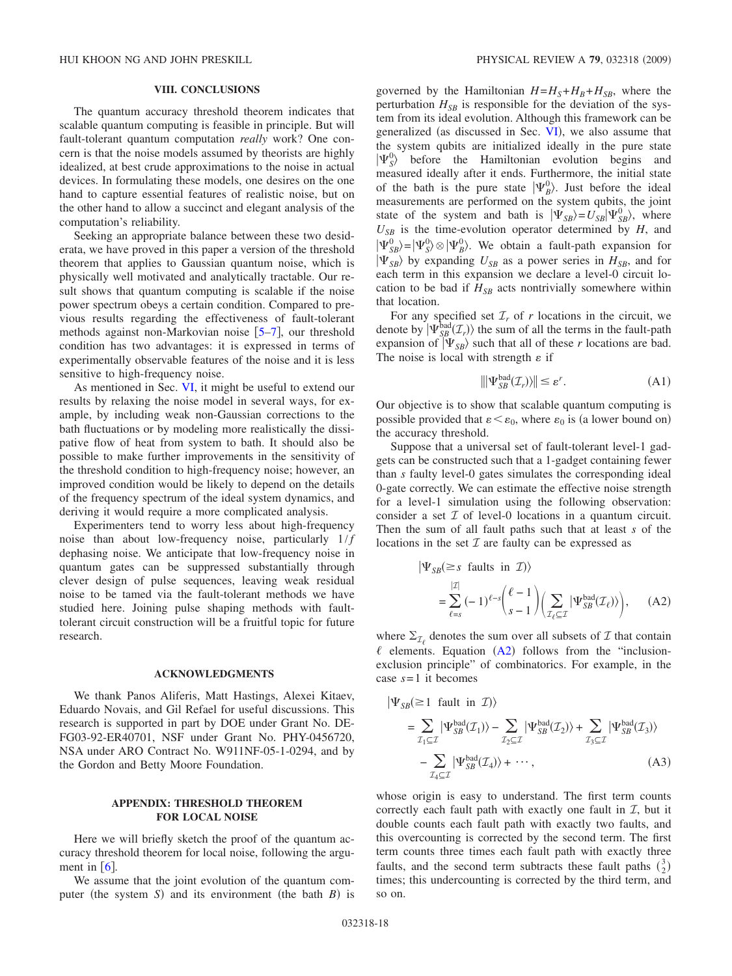### **VIII. CONCLUSIONS**

<span id="page-17-0"></span>The quantum accuracy threshold theorem indicates that scalable quantum computing is feasible in principle. But will fault-tolerant quantum computation *really* work? One concern is that the noise models assumed by theorists are highly idealized, at best crude approximations to the noise in actual devices. In formulating these models, one desires on the one hand to capture essential features of realistic noise, but on the other hand to allow a succinct and elegant analysis of the computation's reliability.

Seeking an appropriate balance between these two desiderata, we have proved in this paper a version of the threshold theorem that applies to Gaussian quantum noise, which is physically well motivated and analytically tractable. Our result shows that quantum computing is scalable if the noise power spectrum obeys a certain condition. Compared to previous results regarding the effectiveness of fault-tolerant methods against non-Markovian noise  $\lceil 5-7 \rceil$  $\lceil 5-7 \rceil$  $\lceil 5-7 \rceil$ , our threshold condition has two advantages: it is expressed in terms of experimentally observable features of the noise and it is less sensitive to high-frequency noise.

As mentioned in Sec. [VI,](#page-12-0) it might be useful to extend our results by relaxing the noise model in several ways, for example, by including weak non-Gaussian corrections to the bath fluctuations or by modeling more realistically the dissipative flow of heat from system to bath. It should also be possible to make further improvements in the sensitivity of the threshold condition to high-frequency noise; however, an improved condition would be likely to depend on the details of the frequency spectrum of the ideal system dynamics, and deriving it would require a more complicated analysis.

Experimenters tend to worry less about high-frequency noise than about low-frequency noise, particularly  $1/f$ dephasing noise. We anticipate that low-frequency noise in quantum gates can be suppressed substantially through clever design of pulse sequences, leaving weak residual noise to be tamed via the fault-tolerant methods we have studied here. Joining pulse shaping methods with faulttolerant circuit construction will be a fruitful topic for future research.

### **ACKNOWLEDGMENTS**

We thank Panos Aliferis, Matt Hastings, Alexei Kitaev, Eduardo Novais, and Gil Refael for useful discussions. This research is supported in part by DOE under Grant No. DE-FG03-92-ER40701, NSF under Grant No. PHY-0456720, NSA under ARO Contract No. W911NF-05-1-0294, and by the Gordon and Betty Moore Foundation.

# **APPENDIX: THRESHOLD THEOREM FOR LOCAL NOISE**

Here we will briefly sketch the proof of the quantum accuracy threshold theorem for local noise, following the argument in  $\lceil 6 \rceil$  $\lceil 6 \rceil$  $\lceil 6 \rceil$ .

We assume that the joint evolution of the quantum computer (the system  $S$ ) and its environment (the bath  $B$ ) is

governed by the Hamiltonian  $H=H<sub>S</sub>+H<sub>BB</sub>$ , where the perturbation  $H_{SB}$  is responsible for the deviation of the system from its ideal evolution. Although this framework can be generalized (as discussed in Sec. [VI](#page-12-0)), we also assume that the system qubits are initialized ideally in the pure state  $|\Psi_S^0\rangle$  before the Hamiltonian evolution begins and measured ideally after it ends. Furthermore, the initial state of the bath is the pure state  $|\Psi_B^0\rangle$ . Just before the ideal measurements are performed on the system qubits, the joint state of the system and bath is  $|\Psi_{SB}\rangle = U_{SB}|\Psi_{SB}^0\rangle$ , where  $U_{SB}$  is the time-evolution operator determined by *H*, and  $|\Psi_{SB}^0\rangle = |\Psi_{S}^0\rangle \otimes |\Psi_{B}^0\rangle$ . We obtain a fault-path expansion for  $|\Psi_{SB}\rangle$  by expanding  $U_{SB}$  as a power series in  $H_{SB}$ , and for each term in this expansion we declare a level-0 circuit location to be bad if  $H_{SB}$  acts nontrivially somewhere within that location.

For any specified set  $\mathcal{I}_r$  of r locations in the circuit, we denote by  $|\Psi_{SB}^{\text{bad}}(\mathcal{I}_r)\rangle$  the sum of all the terms in the fault-path expansion of  $|\Psi_{SB}\rangle$  such that all of these *r* locations are bad. The noise is local with strength  $\varepsilon$  if

$$
\|\Psi_{SB}^{\text{bad}}(\mathcal{I}_r)\|\leq \varepsilon^r. \tag{A1}
$$

<span id="page-17-2"></span>Our objective is to show that scalable quantum computing is possible provided that  $\varepsilon < \varepsilon_0$ , where  $\varepsilon_0$  is (a lower bound on) the accuracy threshold.

Suppose that a universal set of fault-tolerant level-1 gadgets can be constructed such that a 1-gadget containing fewer than *s* faulty level-0 gates simulates the corresponding ideal 0-gate correctly. We can estimate the effective noise strength for a level-1 simulation using the following observation: consider a set  $\mathcal I$  of level-0 locations in a quantum circuit. Then the sum of all fault paths such that at least *s* of the locations in the set  $\mathcal I$  are faulty can be expressed as

<span id="page-17-1"></span>
$$
|\Psi_{SB}(\geq s \text{ faults in } \mathcal{I})\rangle
$$
  
=  $\sum_{\ell=s}^{|\mathcal{I}|} (-1)^{\ell-s} {\ell-1 \choose s-1} \left(\sum_{\mathcal{I}\in\mathcal{I}} |\Psi_{SB}^{\text{bad}}(\mathcal{I}_{\ell})\rangle\right)$ , (A2)

where  $\Sigma_{\mathcal{I}_{\rho}}$  denotes the sum over all subsets of  $\mathcal I$  that contain  $\ell$  elements. Equation ([A2](#page-17-1)) follows from the "inclusionexclusion principle" of combinatorics. For example, in the case  $s = 1$  it becomes

$$
\begin{split} |\Psi_{SB}(\geq 1 \text{ fault in } \mathcal{I})\rangle \\ &= \sum_{\mathcal{I}_1 \subseteq \mathcal{I}} |\Psi_{SB}^{\text{bad}}(\mathcal{I}_1)\rangle - \sum_{\mathcal{I}_2 \subseteq \mathcal{I}} |\Psi_{SB}^{\text{bad}}(\mathcal{I}_2)\rangle + \sum_{\mathcal{I}_3 \subseteq \mathcal{I}} |\Psi_{SB}^{\text{bad}}(\mathcal{I}_3)\rangle \\ &- \sum_{\mathcal{I}_4 \subseteq \mathcal{I}} |\Psi_{SB}^{\text{bad}}(\mathcal{I}_4)\rangle + \cdots, \end{split} \tag{A3}
$$

whose origin is easy to understand. The first term counts correctly each fault path with exactly one fault in  $I$ , but it double counts each fault path with exactly two faults, and this overcounting is corrected by the second term. The first term counts three times each fault path with exactly three faults, and the second term subtracts these fault paths  $\binom{3}{2}$ times; this undercounting is corrected by the third term, and so on.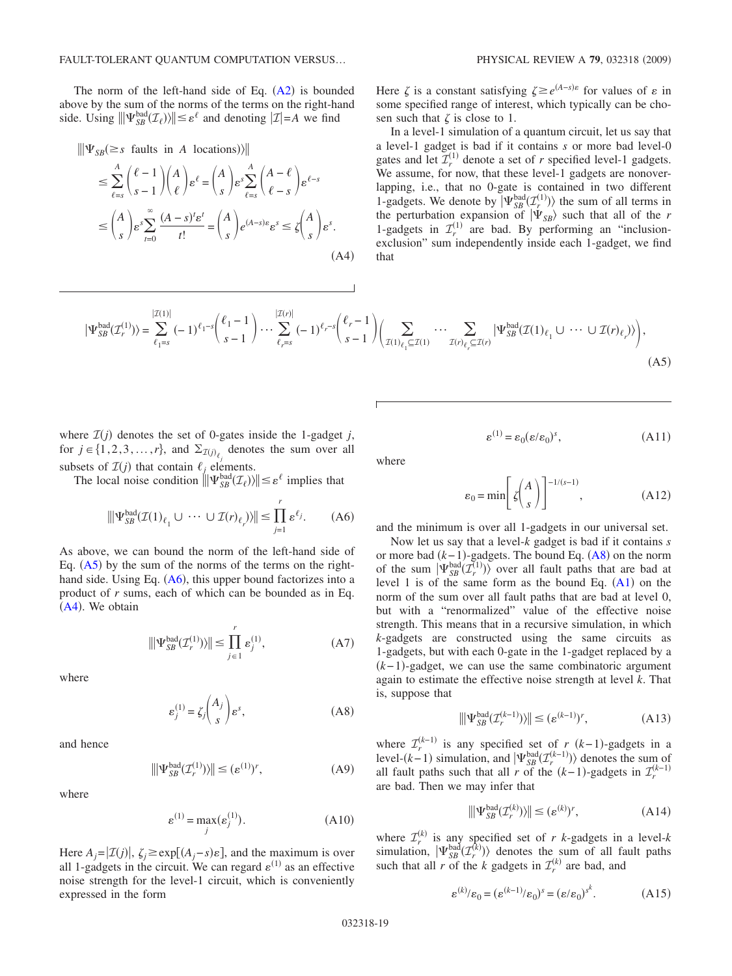The norm of the left-hand side of Eq.  $(A2)$  $(A2)$  $(A2)$  is bounded above by the sum of the norms of the terms on the right-hand side. Using  $\|\Psi_{SB}^{\text{bad}}(\mathcal{I}_{\ell})\|\leq \varepsilon^{\ell}$  and denoting  $|\mathcal{I}|=A$  we find

<span id="page-18-0"></span>
$$
\|\Psi_{SB}(\geq s \text{ faults in } A \text{ locations})\|\
$$
  
\n
$$
\leq \sum_{\ell=s}^{A} \binom{\ell-1}{s-1} \binom{A}{\ell} \varepsilon^{\ell} = \binom{A}{s} \varepsilon^{s} \sum_{\ell=s}^{A} \binom{A-\ell}{\ell-s} \varepsilon^{\ell-s}
$$
  
\n
$$
\leq \binom{A}{s} \varepsilon^{s} \sum_{t=0}^{\infty} \frac{(A-s)^{t} \varepsilon^{t}}{t!} = \binom{A}{s} e^{(A-s)\varepsilon} \varepsilon^{s} \leq \zeta \binom{A}{s} \varepsilon^{s}.
$$
\n(A4)

Here  $\zeta$  is a constant satisfying  $\zeta \geq e^{(A-s)\varepsilon}$  for values of  $\varepsilon$  in some specified range of interest, which typically can be chosen such that  $\zeta$  is close to 1.

In a level-1 simulation of a quantum circuit, let us say that a level-1 gadget is bad if it contains *s* or more bad level-0 gates and let  $\mathcal{I}_r^{(1)}$  denote a set of *r* specified level-1 gadgets. We assume, for now, that these level-1 gadgets are nonoverlapping, i.e., that no 0-gate is contained in two different 1-gadgets. We denote by  $|\Psi_{SB}^{\text{bad}}(\mathcal{I}_r^{(1)})\rangle$  the sum of all terms in the perturbation expansion of  $|\Psi_{SB}\rangle$  such that all of the *r* 1-gadgets in  $\mathcal{I}_r^{(1)}$  are bad. By performing an "inclusionexclusion" sum independently inside each 1-gadget, we find that

$$
|\Psi_{SB}^{\text{bad}}(\mathcal{I}_r^{(1)})\rangle = \sum_{\ell_1=s}^{|\mathcal{I}(1)|} (-1)^{\ell_1-s} {\ell_1-1 \choose s-1} \cdots \sum_{\ell_r=s}^{|\mathcal{I}(r)|} (-1)^{\ell_r-s} {\ell_r-1 \choose s-1} {\sum_{\mathcal{I}(1)\ell_1\subseteq\mathcal{I}(1)} \cdots \sum_{\mathcal{I}(r)\ell_r\subseteq\mathcal{I}(r)} |\Psi_{SB}^{\text{bad}}(\mathcal{I}(1)\ell_1 \cup \cdots \cup \mathcal{I}(r)\ell_r)}\rangle,
$$
\n(A5)

where

where  $\mathcal{I}(j)$  denotes the set of 0-gates inside the 1-gadget *j*, for  $j \in \{1,2,3,\ldots,r\}$ , and  $\Sigma_{\mathcal{I}(j)_{\ell_j}}$  denotes the sum over all subsets of  $\mathcal{I}(j)$  that contain  $\ell_j$  elements.

The local noise condition  $\|\Psi_{SB}^{\text{bad}}(\mathcal{I}_{\ell})\|\leq \varepsilon^{\ell}$  implies that

$$
\left\| \left[ \Psi_{SB}^{\text{bad}}(\mathcal{I}(1)_{\ell_1} \cup \cdots \cup \mathcal{I}(r)_{\ell_r} ) \right] \right\| \leq \prod_{j=1}^r \varepsilon^{\ell_j}.
$$
 (A6)

<span id="page-18-1"></span>As above, we can bound the norm of the left-hand side of Eq.  $(A5)$  $(A5)$  $(A5)$  by the sum of the norms of the terms on the righthand side. Using Eq.  $(A6)$  $(A6)$  $(A6)$ , this upper bound factorizes into a product of *r* sums, each of which can be bounded as in Eq. ([A4](#page-18-0)). We obtain

$$
\left\| \Psi_{SB}^{\text{bad}}(\mathcal{I}_r^{(1)}) \right\| \le \prod_{j=1}^r \varepsilon_j^{(1)},\tag{A7}
$$

where

$$
\varepsilon_j^{(1)} = \zeta_j \binom{A_j}{s} \varepsilon^s,\tag{A8}
$$

<span id="page-18-2"></span>and hence

$$
\left\| \left[ \Psi_{SB}^{\text{bad}}(\mathcal{I}_r^{(1)}) \right] \right\| \leq (\varepsilon^{(1)})^r,\tag{A9}
$$

where

$$
\varepsilon^{(1)} = \max_{j} (\varepsilon_j^{(1)}).
$$
 (A10)

Here  $A_j = |\mathcal{I}(j)|$ ,  $\zeta_j \ge \exp[(A_j - s)\varepsilon]$ , and the maximum is over all 1-gadgets in the circuit. We can regard  $\varepsilon^{(1)}$  as an effective noise strength for the level-1 circuit, which is conveniently expressed in the form

$$
\varepsilon^{(1)} = \varepsilon_0 (\varepsilon/\varepsilon_0)^s, \tag{A11}
$$

$$
\varepsilon_0 = \min\left[\zeta \binom{A}{s}\right]^{-1/(s-1)},\tag{A12}
$$

<span id="page-18-4"></span>and the minimum is over all 1-gadgets in our universal set.

Now let us say that a level-*k* gadget is bad if it contains *s* or more bad  $(k-1)$ -gadgets. The bound Eq.  $(A8)$  $(A8)$  $(A8)$  on the norm of the sum  $|\Psi_{SB}^{\text{bad}}(\mathcal{I}_r^{(1)})\rangle$  over all fault paths that are bad at level 1 is of the same form as the bound Eq.  $(A1)$  $(A1)$  $(A1)$  on the norm of the sum over all fault paths that are bad at level 0, but with a "renormalized" value of the effective noise strength. This means that in a recursive simulation, in which *k*-gadgets are constructed using the same circuits as 1-gadgets, but with each 0-gate in the 1-gadget replaced by a  $(k-1)$ -gadget, we can use the same combinatoric argument again to estimate the effective noise strength at level *k*. That is, suppose that

$$
\|\Psi_{SB}^{\text{bad}}(\mathcal{I}_r^{(k-1)})\|\leq (\varepsilon^{(k-1)})^r,\tag{A13}
$$

where  $\mathcal{I}_r^{(k-1)}$  is any specified set of *r*  $(k-1)$ -gadgets in a level- $(k-1)$  simulation, and  $|\Psi_{SB}^{\text{bad}}(\mathcal{I}_r^{(k-1)})\rangle$  denotes the sum of all fault paths such that all *r* of the  $(k-1)$ -gadgets in  $\mathcal{I}_r^{(k-1)}$ are bad. Then we may infer that

$$
\left\| \left[ \Psi_{SB}^{\text{bad}}(\mathcal{I}_r^{(k)}) \right] \right\| \leq (\varepsilon^{(k)})^r, \tag{A14}
$$

<span id="page-18-3"></span>where  $\mathcal{I}_r^{(k)}$  is any specified set of *r k*-gadgets in a level-*k* simulation,  $|\Psi_{SB}^{\text{bad}}(\mathcal{I}_r^{(k)})\rangle$  denotes the sum of all fault paths such that all *r* of the *k* gadgets in  $\mathcal{I}_r^{(k)}$  are bad, and

$$
\varepsilon^{(k)}/\varepsilon_0 = (\varepsilon^{(k-1)}/\varepsilon_0)^s = (\varepsilon/\varepsilon_0)^{s^k}.
$$
 (A15)